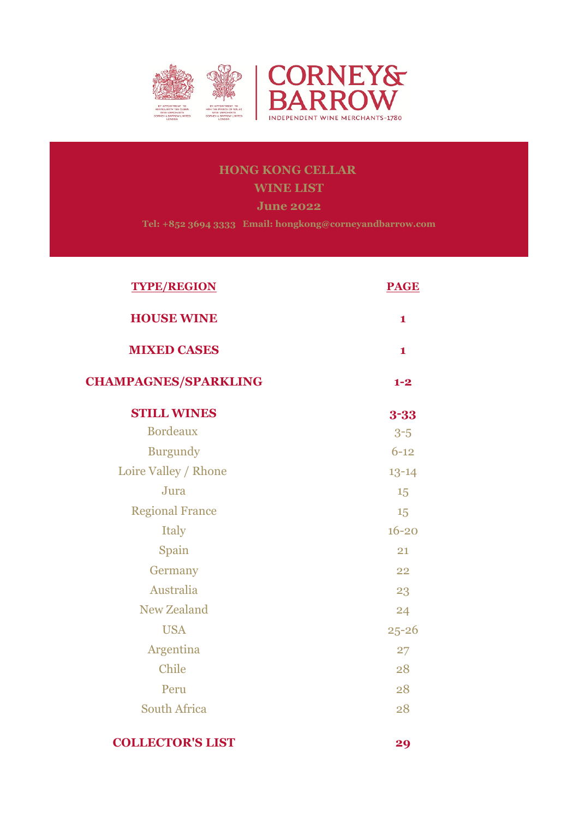

# **HONG KONG CELLAR WINE LIST**

**June 2022**

**Tel: +852 3694 3333 Email: hongkong@corneyandbarrow.com**

| <b>TYPE/REGION</b>          | <b>PAGE</b>  |
|-----------------------------|--------------|
| <b>HOUSE WINE</b>           | $\mathbf{1}$ |
| <b>MIXED CASES</b>          | $\mathbf{1}$ |
| <b>CHAMPAGNES/SPARKLING</b> | $1 - 2$      |
| <b>STILL WINES</b>          | $3 - 33$     |
| <b>Bordeaux</b>             | $3-5$        |
| <b>Burgundy</b>             | $6 - 12$     |
| Loire Valley / Rhone        | $13 - 14$    |
| Jura                        | 15           |
| <b>Regional France</b>      | 15           |
| <b>Italy</b>                | $16 - 20$    |
| Spain                       | 21           |
| Germany                     | 22           |
| Australia                   | 23           |
| <b>New Zealand</b>          | 24           |
| <b>USA</b>                  | $25 - 26$    |
| Argentina                   | 27           |
| Chile                       | 28           |
| Peru                        | 28           |
| <b>South Africa</b>         | 28           |
|                             |              |

**COLLECTOR'S LIST 29**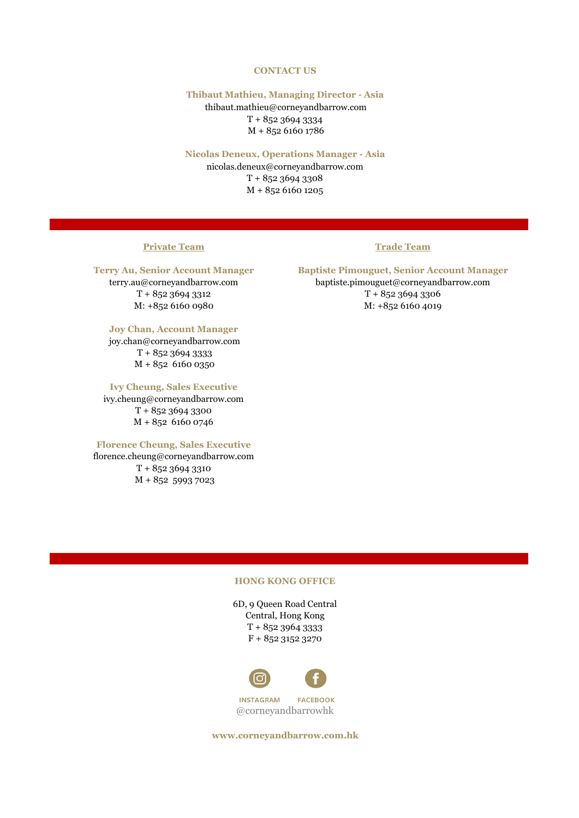## **CONTACT US**

## **Thibaut Mathieu, Managing Director - Asia**

 thibaut.mathieu@corneyandbarrow.com T + 852 3694 3334 M + 852 6160 1786

## **Nicolas Deneux, Operations Manager - Asia**

nicolas.deneux@corneyandbarrow.com T + 852 3694 3308 M + 852 6160 1205

## **Private Team Trade Team**

## **Joy Chan, Account Manager**

 joy.chan@corneyandbarrow.com T + 852 3694 3333 M + 852 6160 0350

## **Ivy Cheung, Sales Executive**

ivy.cheung@corneyandbarrow.com T + 852 3694 3300 M + 852 6160 0746

## **Florence Cheung, Sales Executive**

florence.cheung@corneyandbarrow.com T + 852 3694 3310 M + 852 5993 7023

**Terry Au, Senior Account Manager Baptiste Pimouguet, Senior Account Manager** terry.au@corneyandbarrow.com baptiste.pimouguet@corneyandbarrow.com  $T + 85236943312$   $T + 85236943306$ M: +852 6160 0980 M: +852 6160 4019

## **HONG KONG OFFICE**

6D, 9 Queen Road Central Central, Hong Kong T + 852 3964 3333 F + 852 3152 3270



@corneyandbarrowhk

**www.corneyandbarrow.com.hk**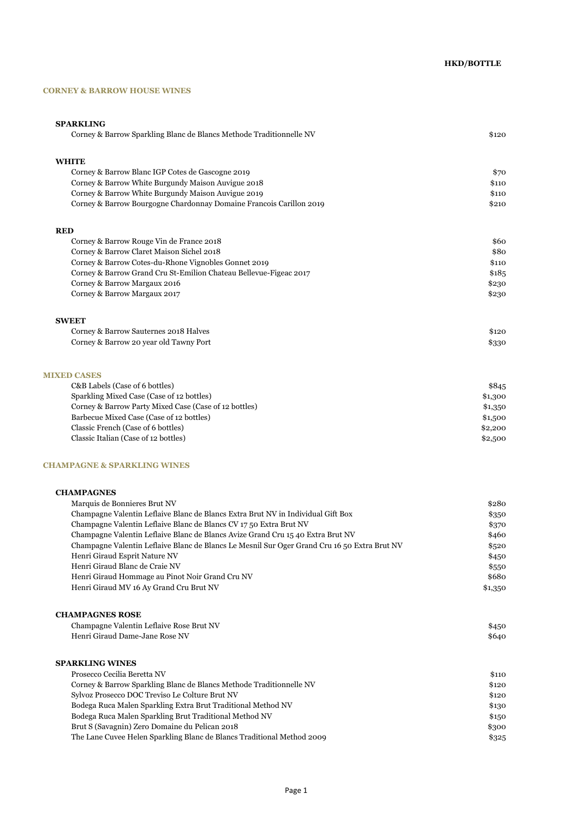## **CORNEY & BARROW HOUSE WINES**

| <b>SPARKLING</b>                                                                             |         |
|----------------------------------------------------------------------------------------------|---------|
| Corney & Barrow Sparkling Blanc de Blancs Methode Traditionnelle NV                          | \$120   |
| <b>WHITE</b>                                                                                 |         |
| Corney & Barrow Blanc IGP Cotes de Gascogne 2019                                             | \$70    |
| Corney & Barrow White Burgundy Maison Auvigue 2018                                           | \$110   |
| Corney & Barrow White Burgundy Maison Auvigue 2019                                           | \$110   |
| Corney & Barrow Bourgogne Chardonnay Domaine Francois Carillon 2019                          | \$210   |
| <b>RED</b>                                                                                   |         |
| Corney & Barrow Rouge Vin de France 2018                                                     | \$60    |
| Corney & Barrow Claret Maison Sichel 2018                                                    | \$80    |
| Corney & Barrow Cotes-du-Rhone Vignobles Gonnet 2019                                         | \$110   |
| Corney & Barrow Grand Cru St-Emilion Chateau Bellevue-Figeac 2017                            | \$185   |
| Corney & Barrow Margaux 2016                                                                 | \$230   |
| Corney & Barrow Margaux 2017                                                                 | \$230   |
| <b>SWEET</b>                                                                                 |         |
| Corney & Barrow Sauternes 2018 Halves                                                        | \$120   |
| Corney & Barrow 20 year old Tawny Port                                                       | \$330   |
| <b>MIXED CASES</b>                                                                           |         |
| C&B Labels (Case of 6 bottles)                                                               | \$845   |
| Sparkling Mixed Case (Case of 12 bottles)                                                    | \$1,300 |
| Corney & Barrow Party Mixed Case (Case of 12 bottles)                                        | \$1,350 |
| Barbecue Mixed Case (Case of 12 bottles)                                                     | \$1,500 |
| Classic French (Case of 6 bottles)                                                           | \$2,200 |
| Classic Italian (Case of 12 bottles)                                                         | \$2,500 |
| <b>CHAMPAGNE &amp; SPARKLING WINES</b>                                                       |         |
| <b>CHAMPAGNES</b>                                                                            |         |
| Marquis de Bonnieres Brut NV                                                                 | \$280   |
| Champagne Valentin Leflaive Blanc de Blancs Extra Brut NV in Individual Gift Box             | \$350   |
| Champagne Valentin Leflaive Blanc de Blancs CV 1750 Extra Brut NV                            | \$370   |
| Champagne Valentin Leflaive Blanc de Blancs Avize Grand Cru 15 40 Extra Brut NV              | \$460   |
| Champagne Valentin Leflaive Blanc de Blancs Le Mesnil Sur Oger Grand Cru 16 50 Extra Brut NV | \$520   |
| Henri Giraud Esprit Nature NV                                                                | \$450   |
| Henri Giraud Blanc de Craie NV                                                               | \$550   |
| Henri Giraud Hommage au Pinot Noir Grand Cru NV                                              | \$680   |

Henri Giraud MV 16 Ay Grand Cru Brut NV  $$1,350$ 

| <b>CHAMPAGNES ROSE</b>                   |       |
|------------------------------------------|-------|
| Champagne Valentin Leflaive Rose Brut NV | \$450 |
| Henri Giraud Dame-Jane Rose NV           | \$640 |
|                                          |       |

## **SPARKLING WINES**

| Prosecco Cecilia Beretta NV                                            | \$110 |
|------------------------------------------------------------------------|-------|
| Corney & Barrow Sparkling Blanc de Blancs Methode Traditionnelle NV    | \$120 |
| Sylvoz Prosecco DOC Treviso Le Colture Brut NV                         | \$120 |
| Bodega Ruca Malen Sparkling Extra Brut Traditional Method NV           | \$130 |
| Bodega Ruca Malen Sparkling Brut Traditional Method NV                 | \$150 |
| Brut S (Savagnin) Zero Domaine du Pelican 2018                         | \$300 |
| The Lane Cuvee Helen Sparkling Blanc de Blancs Traditional Method 2009 | \$325 |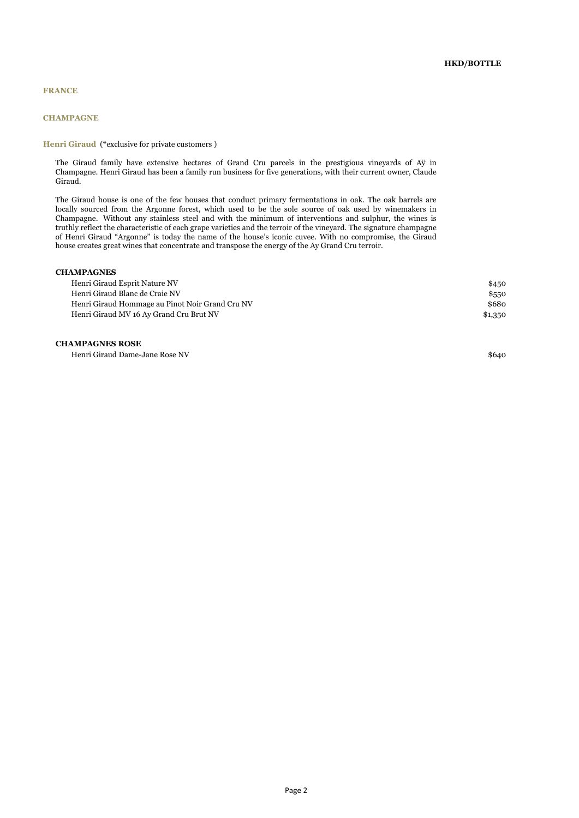## **CHAMPAGNE**

## **Henri Giraud** (\*exclusive for private customers )

The Giraud family have extensive hectares of Grand Cru parcels in the prestigious vineyards of Aÿ in Champagne. Henri Giraud has been a family run business for five generations, with their current owner, Claude Giraud.

The Giraud house is one of the few houses that conduct primary fermentations in oak. The oak barrels are locally sourced from the Argonne forest, which used to be the sole source of oak used by winemakers in Champagne. Without any stainless steel and with the minimum of interventions and sulphur, the wines is truthly reflect the characteristic of each grape varieties and the terroir of the vineyard. The signature champagne of Henri Giraud "Argonne" is today the name of the house's iconic cuvee. With no compromise, the Giraud house creates great wines that concentrate and transpose the energy of the Ay Grand Cru terroir.

## **CHAMPAGNES**

| Henri Giraud Esprit Nature NV                   |         |
|-------------------------------------------------|---------|
| Henri Giraud Blanc de Craie NV                  | \$550   |
| Henri Giraud Hommage au Pinot Noir Grand Cru NV | \$680   |
| Henri Giraud MV 16 Ay Grand Cru Brut NV         | \$1,350 |

### **CHAMPAGNES ROSE**

Henri Giraud Dame-Jane Rose NV \$640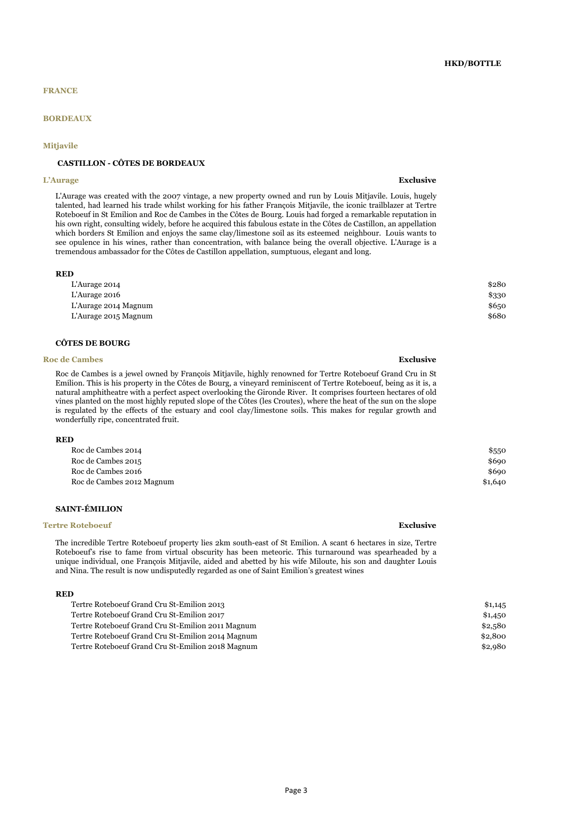## **BORDEAUX**

#### **Mitjavile**

## **CASTILLON - CÔTES DE BORDEAUX**

#### **L'Aurage Exclusive**

L'Aurage was created with the 2007 vintage, a new property owned and run by Louis Mitjavile. Louis, hugely talented, had learned his trade whilst working for his father François Mitjavile, the iconic trailblazer at Tertre Roteboeuf in St Emilion and Roc de Cambes in the Côtes de Bourg. Louis had forged a remarkable reputation in his own right, consulting widely, before he acquired this fabulous estate in the Côtes de Castillon, an appellation which borders St Emilion and enjoys the same clay/limestone soil as its esteemed neighbour. Louis wants to see opulence in his wines, rather than concentration, with balance being the overall objective. L'Aurage is a tremendous ambassador for the Côtes de Castillon appellation, sumptuous, elegant and long.

| <b>RED</b>           |       |
|----------------------|-------|
| L'Aurage 2014        | \$280 |
| L'Aurage 2016        | \$330 |
| L'Aurage 2014 Magnum | \$650 |
| L'Aurage 2015 Magnum | \$680 |

#### **CÔTES DE BOURG**

#### **Roc de Cambes Exclusive**

Roc de Cambes is a jewel owned by François Mitjavile, highly renowned for Tertre Roteboeuf Grand Cru in St Emilion. This is his property in the Côtes de Bourg, a vineyard reminiscent of Tertre Roteboeuf, being as it is, a natural amphitheatre with a perfect aspect overlooking the Gironde River. It comprises fourteen hectares of old vines planted on the most highly reputed slope of the Côtes (les Croutes), where the heat of the sun on the slope is regulated by the effects of the estuary and cool clay/limestone soils. This makes for regular growth and wonderfully ripe, concentrated fruit.

### **RED**

| Roc de Cambes 2014        | \$550   |
|---------------------------|---------|
| Roc de Cambes 2015        | \$690   |
| Roc de Cambes 2016        | \$690   |
| Roc de Cambes 2012 Magnum | \$1,640 |
|                           |         |

## **SAINT-ÉMILION**

#### **Tertre Roteboeuf Exclusive Exclusive Exclusive Exclusive Exclusive Exclusive Exclusive**

The incredible Tertre Roteboeuf property lies 2km south-east of St Emilion. A scant 6 hectares in size, Tertre Roteboeuf's rise to fame from virtual obscurity has been meteoric. This turnaround was spearheaded by a unique individual, one François Mitjavile, aided and abetted by his wife Miloute, his son and daughter Louis and Nina. The result is now undisputedly regarded as one of Saint Emilion's greatest wines

#### **RED**

| Tertre Roteboeuf Grand Cru St-Emilion 2013        | \$1,145 |
|---------------------------------------------------|---------|
| Tertre Roteboeuf Grand Cru St-Emilion 2017        | \$1,450 |
| Tertre Roteboeuf Grand Cru St-Emilion 2011 Magnum | \$2,580 |
| Tertre Roteboeuf Grand Cru St-Emilion 2014 Magnum | \$2,800 |
| Tertre Roteboeuf Grand Cru St-Emilion 2018 Magnum | \$2,980 |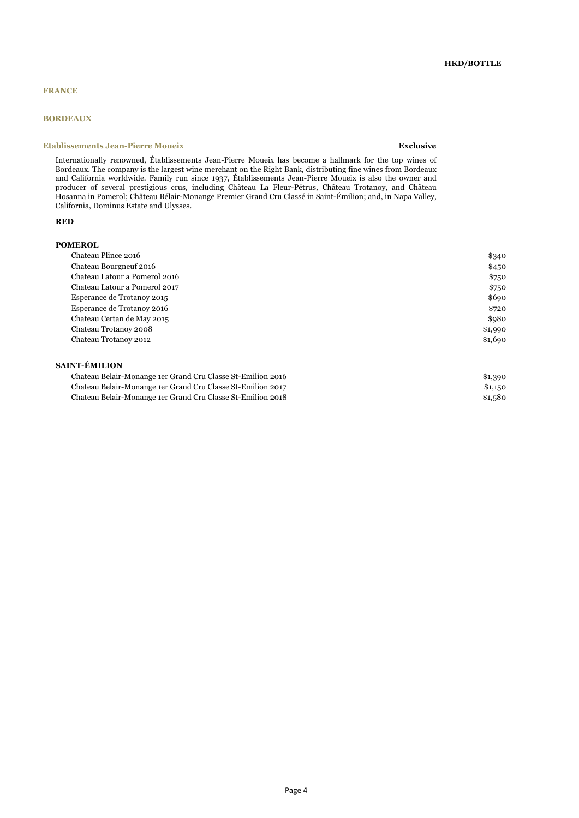## **BORDEAUX**

## **Etablissements Jean-Pierre Moueix Exclusive**

Internationally renowned, Établissements Jean-Pierre Moueix has become a hallmark for the top wines of Bordeaux. The company is the largest wine merchant on the Right Bank, distributing fine wines from Bordeaux and California worldwide. Family run since 1937, Établissements Jean-Pierre Moueix is also the owner and producer of several prestigious crus, including Château La Fleur-Pétrus, Château Trotanoy, and Château Hosanna in Pomerol; Château Bélair-Monange Premier Grand Cru Classé in Saint-Émilion; and, in Napa Valley, California, Dominus Estate and Ulysses.

#### **RED**

## **POMEROL**

## **SAINT-ÉMILION**

| Chateau Belair-Monange 1er Grand Cru Classe St-Emilion 2016 | \$1,390 |
|-------------------------------------------------------------|---------|
| Chateau Belair-Monange 1er Grand Cru Classe St-Emilion 2017 | \$1,150 |
| Chateau Belair-Monange 1er Grand Cru Classe St-Emilion 2018 | \$1,580 |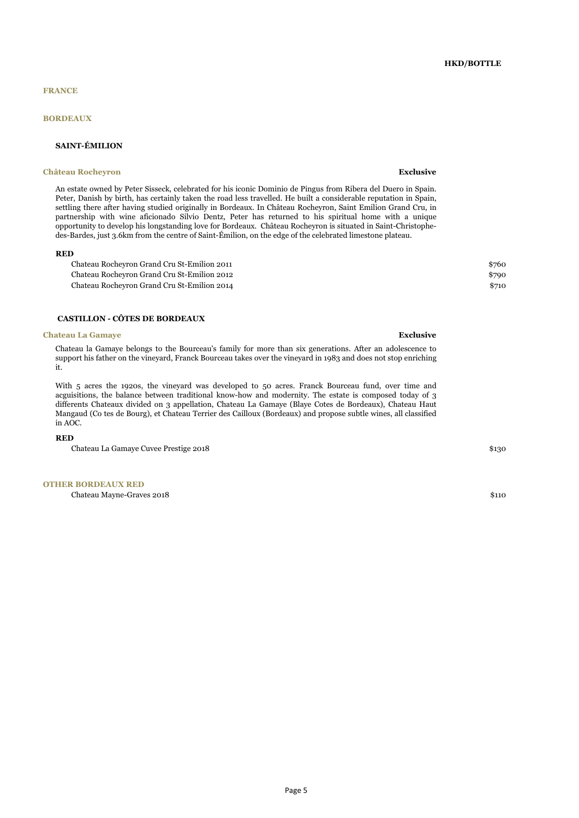## **BORDEAUX**

## **SAINT-ÉMILION**

#### **Château Rocheyron Exclusive**

An estate owned by Peter Sisseck, celebrated for his iconic Dominio de Pingus from Ribera del Duero in Spain. Peter, Danish by birth, has certainly taken the road less travelled. He built a considerable reputation in Spain, settling there after having studied originally in Bordeaux. In Château Rocheyron, Saint Emilion Grand Cru, in partnership with wine aficionado Silvio Dentz, Peter has returned to his spiritual home with a unique opportunity to develop his longstanding love for Bordeaux. Château Rocheyron is situated in Saint-Christophedes-Bardes, just 3.6km from the centre of Saint-Émilion, on the edge of the celebrated limestone plateau.

#### **RED**

Chateau Rocheyron Grand Cru St-Emilion 2011 \$760 Chateau Rocheyron Grand Cru St-Emilion 2012 \$790 Chateau Rocheyron Grand Cru St-Emilion 2014 \$710

## **CASTILLON - CÔTES DE BORDEAUX**

#### **Chateau La Gamaye Exclusive**

Chateau la Gamaye belongs to the Bourceau's family for more than six generations. After an adolescence to support his father on the vineyard, Franck Bourceau takes over the vineyard in 1983 and does not stop enriching it.

With 5 acres the 1920s, the vineyard was developed to 50 acres. Franck Bourceau fund, over time and acguisitions, the balance between traditional know-how and modernity. The estate is composed today of 3 differents Chateaux divided on 3 appellation, Chateau La Gamaye (Blaye Cotes de Bordeaux), Chateau Haut Mangaud (Co tes de Bourg), et Chateau Terrier des Cailloux (Bordeaux) and propose subtle wines, all classified in AOC.

#### **RED**

Chateau La Gamaye Cuvee Prestige 2018 \$130

**OTHER BORDEAUX RED**

Chateau Mayne-Graves 2018 \$110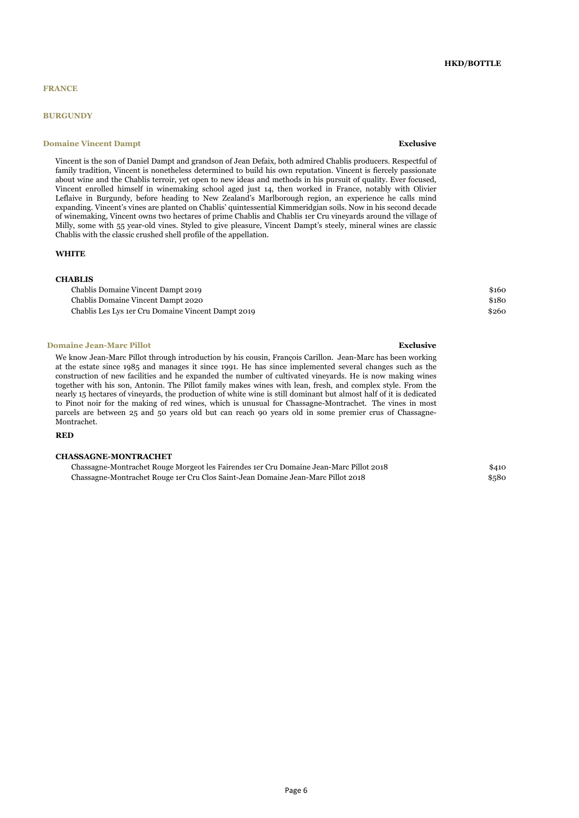### **BURGUNDY**

## **Domaine Vincent Dampt Exclusive**

## **HKD/BOTTLE**

Vincent is the son of Daniel Dampt and grandson of Jean Defaix, both admired Chablis producers. Respectful of family tradition, Vincent is nonetheless determined to build his own reputation. Vincent is fiercely passionate about wine and the Chablis terroir, yet open to new ideas and methods in his pursuit of quality. Ever focused, Vincent enrolled himself in winemaking school aged just 14, then worked in France, notably with Olivier Leflaive in Burgundy, before heading to New Zealand's Marlborough region, an experience he calls mind expanding. Vincent's vines are planted on Chablis' quintessential Kimmeridgian soils. Now in his second decade of winemaking, Vincent owns two hectares of prime Chablis and Chablis 1er Cru vineyards around the village of Milly, some with 55 year-old vines. Styled to give pleasure, Vincent Dampt's steely, mineral wines are classic Chablis with the classic crushed shell profile of the appellation.

### **WHITE**

#### **CHABLIS**

| Chablis Domaine Vincent Dampt 2019                 | \$160 |
|----------------------------------------------------|-------|
| Chablis Domaine Vincent Dampt 2020                 | \$180 |
| Chablis Les Lys 1er Cru Domaine Vincent Dampt 2019 | \$260 |

#### **Domaine Jean-Marc Pillot Exclusive Exclusive Exclusive**

We know Jean-Marc Pillot through introduction by his cousin, François Carillon. Jean-Marc has been working at the estate since 1985 and manages it since 1991. He has since implemented several changes such as the construction of new facilities and he expanded the number of cultivated vineyards. He is now making wines together with his son, Antonin. The Pillot family makes wines with lean, fresh, and complex style. From the nearly 15 hectares of vineyards, the production of white wine is still dominant but almost half of it is dedicated to Pinot noir for the making of red wines, which is unusual for Chassagne-Montrachet. The vines in most parcels are between 25 and 50 years old but can reach 90 years old in some premier crus of Chassagne-Montrachet.

#### **RED**

#### **CHASSAGNE-MONTRACHET**

Chassagne-Montrachet Rouge Morgeot les Fairendes 1er Cru Domaine Jean-Marc Pillot 2018 \$410 Chassagne-Montrachet Rouge 1er Cru Clos Saint-Jean Domaine Jean-Marc Pillot 2018 \$580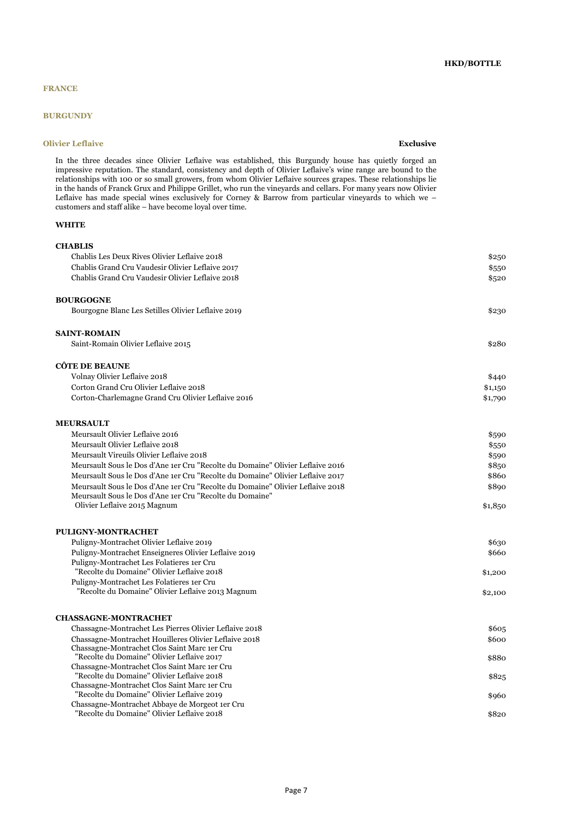## **BURGUNDY**

## **Olivier Leflaive Exclusive Exclusive Exclusive Exclusive**

In the three decades since Olivier Leflaive was established, this Burgundy house has quietly forged an impressive reputation. The standard, consistency and depth of Olivier Leflaive's wine range are bound to the relationships with 100 or so small growers, from whom Olivier Leflaive sources grapes. These relationships lie in the hands of Franck Grux and Philippe Grillet, who run the vineyards and cellars. For many years now Olivier Leflaive has made special wines exclusively for Corney & Barrow from particular vineyards to which we – customers and staff alike – have become loyal over time.

## **WHITE**

| <b>CHABLIS</b>                                                                             |         |
|--------------------------------------------------------------------------------------------|---------|
| Chablis Les Deux Rives Olivier Leflaive 2018                                               | \$250   |
| Chablis Grand Cru Vaudesir Olivier Leflaive 2017                                           | \$550   |
| Chablis Grand Cru Vaudesir Olivier Leflaive 2018                                           | \$520   |
| <b>BOURGOGNE</b>                                                                           |         |
| Bourgogne Blanc Les Setilles Olivier Leflaive 2019                                         | \$230   |
| <b>SAINT-ROMAIN</b>                                                                        |         |
| Saint-Romain Olivier Leflaive 2015                                                         | \$280   |
| <b>CÔTE DE BEAUNE</b>                                                                      |         |
| Volnay Olivier Leflaive 2018                                                               | \$440   |
| Corton Grand Cru Olivier Leflaive 2018                                                     | \$1,150 |
| Corton-Charlemagne Grand Cru Olivier Leflaive 2016                                         | \$1,790 |
| <b>MEURSAULT</b>                                                                           |         |
| Meursault Olivier Leflaive 2016                                                            | \$590   |
| Meursault Olivier Leflaive 2018                                                            | \$550   |
| Meursault Vireuils Olivier Leflaive 2018                                                   | \$590   |
| Meursault Sous le Dos d'Ane 1er Cru "Recolte du Domaine" Olivier Leflaive 2016             | \$850   |
| Meursault Sous le Dos d'Ane 1er Cru "Recolte du Domaine" Olivier Leflaive 2017             | \$860   |
| Meursault Sous le Dos d'Ane 1er Cru "Recolte du Domaine" Olivier Leflaive 2018             | \$890   |
| Meursault Sous le Dos d'Ane 1er Cru "Recolte du Domaine"                                   |         |
| Olivier Leflaive 2015 Magnum                                                               | \$1,850 |
| <b>PULIGNY-MONTRACHET</b>                                                                  |         |
| Puligny-Montrachet Olivier Leflaive 2019                                                   | \$630   |
| Puligny-Montrachet Enseigneres Olivier Leflaive 2019                                       | \$660   |
| Puligny-Montrachet Les Folatieres 1er Cru                                                  |         |
| "Recolte du Domaine" Olivier Leflaive 2018                                                 | \$1,200 |
| Puligny-Montrachet Les Folatieres 1er Cru                                                  |         |
| "Recolte du Domaine" Olivier Leflaive 2013 Magnum                                          | \$2,100 |
| <b>CHASSAGNE-MONTRACHET</b>                                                                |         |
| Chassagne-Montrachet Les Pierres Olivier Leflaive 2018                                     | \$605   |
| Chassagne-Montrachet Houilleres Olivier Leflaive 2018                                      | \$600   |
| Chassagne-Montrachet Clos Saint Marc 1er Cru                                               |         |
| "Recolte du Domaine" Olivier Leflaive 2017                                                 | \$880   |
| Chassagne-Montrachet Clos Saint Marc 1er Cru<br>"Recolte du Domaine" Olivier Leflaive 2018 |         |
| Chassagne-Montrachet Clos Saint Marc 1er Cru                                               | \$825   |
| "Recolte du Domaine" Olivier Leflaive 2019                                                 | \$960   |
| Chassagne-Montrachet Abbaye de Morgeot 1er Cru                                             |         |
| "Recolte du Domaine" Olivier Leflaive 2018                                                 | \$820   |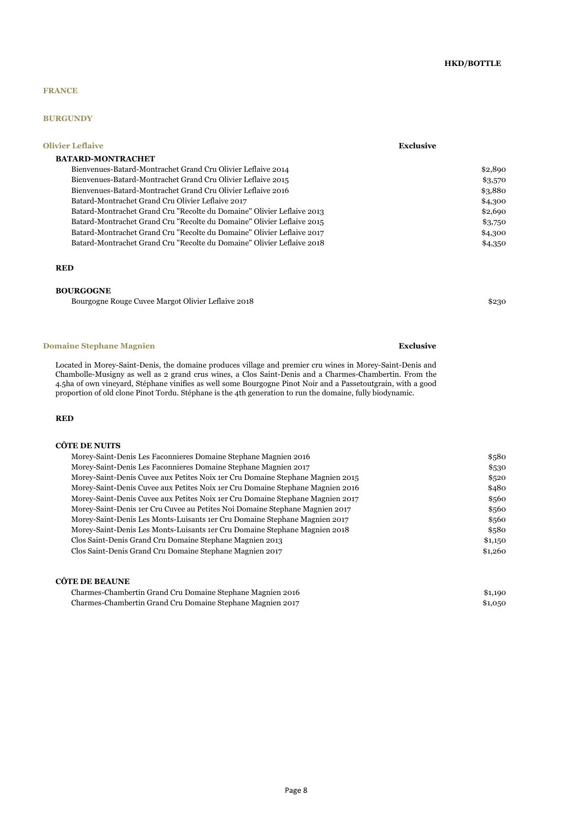## **HKD/BOTTLE**

## **FRANCE**

## **BURGUNDY**

| <b>Olivier Leflaive</b>                                                | <b>Exclusive</b> |
|------------------------------------------------------------------------|------------------|
| <b>BATARD-MONTRACHET</b>                                               |                  |
| Bienvenues-Batard-Montrachet Grand Cru Olivier Leflaive 2014           | \$2,890          |
| Bienvenues-Batard-Montrachet Grand Cru Olivier Leflaive 2015           | \$3,570          |
| Bienvenues-Batard-Montrachet Grand Cru Olivier Leflaive 2016           | \$3,880          |
| Batard-Montrachet Grand Cru Olivier Leflaive 2017                      | \$4,300          |
| Batard-Montrachet Grand Cru "Recolte du Domaine" Olivier Leflaive 2013 | \$2,690          |
| Batard-Montrachet Grand Cru "Recolte du Domaine" Olivier Leflaive 2015 | \$3,750          |
| Batard-Montrachet Grand Cru "Recolte du Domaine" Olivier Leflaive 2017 | \$4,300          |
| Batard-Montrachet Grand Cru "Recolte du Domaine" Olivier Leflaive 2018 | \$4,350          |
|                                                                        |                  |

#### **RED**

### **BOURGOGNE**

Bourgogne Rouge Cuvee Margot Olivier Leflaive 2018 \$230

**Domaine Stephane Magnien Exclusive Exclusive Exclusive Exclusive** 

Located in Morey-Saint-Denis, the domaine produces village and premier cru wines in Morey-Saint-Denis and Chambolle-Musigny as well as 2 grand crus wines, a Clos Saint-Denis and a Charmes-Chambertin. From the 4.5ha of own vineyard, Stéphane vinifies as well some Bourgogne Pinot Noir and a Passetoutgrain, with a good proportion of old clone Pinot Tordu. Stéphane is the 4th generation to run the domaine, fully biodynamic.

## **RED**

## **CÔTE DE NUITS**

| Morey-Saint-Denis Les Faconnieres Domaine Stephane Magnien 2016                | \$580   |
|--------------------------------------------------------------------------------|---------|
| Morey-Saint-Denis Les Faconnieres Domaine Stephane Magnien 2017                | \$530   |
| Morey-Saint-Denis Cuvee aux Petites Noix 1er Cru Domaine Stephane Magnien 2015 | \$520   |
| Morey-Saint-Denis Cuvee aux Petites Noix 1er Cru Domaine Stephane Magnien 2016 | \$480   |
| Morey-Saint-Denis Cuvee aux Petites Noix 1er Cru Domaine Stephane Magnien 2017 | \$560   |
| Morey-Saint-Denis 1er Cru Cuvee au Petites Noi Domaine Stephane Magnien 2017   | \$560   |
| Morey-Saint-Denis Les Monts-Luisants 1er Cru Domaine Stephane Magnien 2017     | \$560   |
| Morey-Saint-Denis Les Monts-Luisants 1er Cru Domaine Stephane Magnien 2018     | \$580   |
| Clos Saint-Denis Grand Cru Domaine Stephane Magnien 2013                       | \$1,150 |
| Clos Saint-Denis Grand Cru Domaine Stephane Magnien 2017                       | \$1,260 |
|                                                                                |         |

## **CÔTE DE BEAUNE**

Charmes-Chambertin Grand Cru Domaine Stephane Magnien 2016 \$1,190 Charmes-Chambertin Grand Cru Domaine Stephane Magnien 2017 \$1,050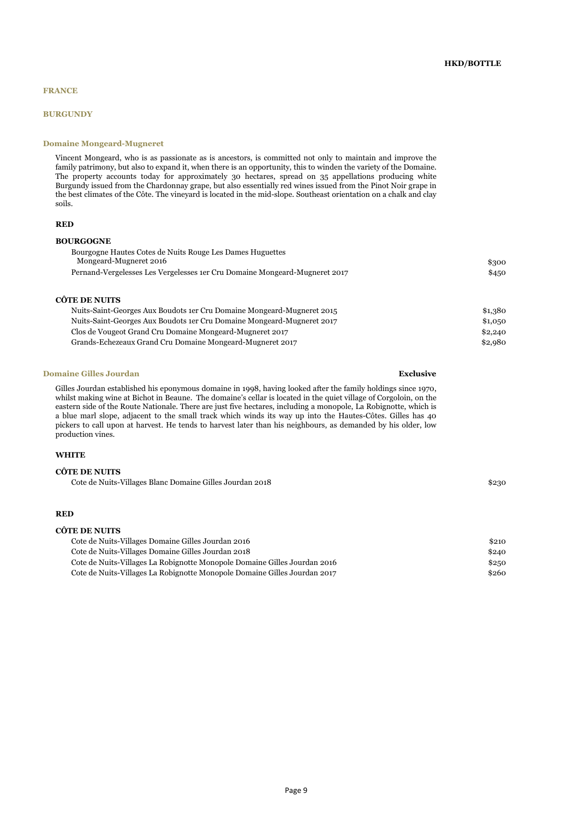#### **BURGUNDY**

#### **Domaine Mongeard-Mugneret**

Vincent Mongeard, who is as passionate as is ancestors, is committed not only to maintain and improve the family patrimony, but also to expand it, when there is an opportunity, this to winden the variety of the Domaine. The property accounts today for approximately 30 hectares, spread on 35 appellations producing white Burgundy issued from the Chardonnay grape, but also essentially red wines issued from the Pinot Noir grape in the best climates of the Côte. The vineyard is located in the mid-slope. Southeast orientation on a chalk and clay soils.

#### **RED**

### **BOURGOGNE**

| Bourgogne Hautes Cotes de Nuits Rouge Les Dames Huguettes                  |          |
|----------------------------------------------------------------------------|----------|
| Mongeard-Mugneret 2016                                                     | \$300    |
| Pernand-Vergelesses Les Vergelesses 1er Cru Domaine Mongeard-Mugneret 2017 | \$450    |
| <b>CÔTE DE NUITS</b>                                                       |          |
| Nuits-Saint-Georges Aux Boudots 1 er Cru Domaine Mongeard-Mugneret 2015    | \$1,380  |
| Nuits-Saint-Georges Aux Boudots 1er Cru Domaine Mongeard-Mugneret 2017     | \$1,0,50 |
| Clos de Vougeot Grand Cru Domaine Mongeard-Mugneret 2017                   | \$2,240  |
| Grands-Echezeaux Grand Cru Domaine Mongeard-Mugneret 2017                  | \$2,980  |

#### **Domaine Gilles Jourdan Exclusive**

Gilles Jourdan established his eponymous domaine in 1998, having looked after the family holdings since 1970, whilst making wine at Bichot in Beaune. The domaine's cellar is located in the quiet village of Corgoloin, on the eastern side of the Route Nationale. There are just five hectares, including a monopole, La Robignotte, which is a blue marl slope, adjacent to the small track which winds its way up into the Hautes-Côtes. Gilles has 40 pickers to call upon at harvest. He tends to harvest later than his neighbours, as demanded by his older, low production vines.

#### **WHITE**

#### **CÔTE DE NUITS**

Cote de Nuits-Villages Blanc Domaine Gilles Jourdan 2018 \$230

### **RED**

#### **CÔTE DE NUITS**

| Cote de Nuits-Villages Domaine Gilles Jourdan 2016                        | \$210 |
|---------------------------------------------------------------------------|-------|
| Cote de Nuits-Villages Domaine Gilles Jourdan 2018                        | \$240 |
| Cote de Nuits-Villages La Robignotte Monopole Domaine Gilles Jourdan 2016 | \$250 |
| Cote de Nuits-Villages La Robignotte Monopole Domaine Gilles Jourdan 2017 | \$260 |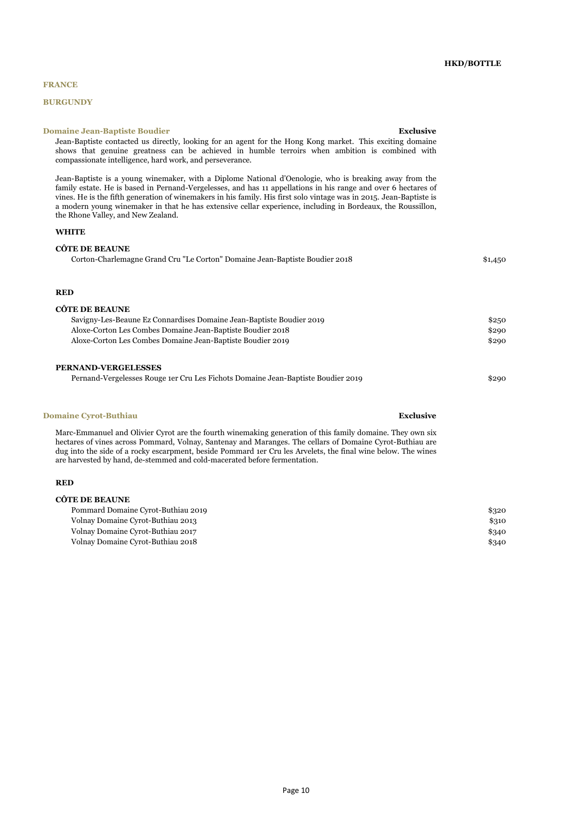## **BURGUNDY**

#### **Domaine Jean-Baptiste Boudier Exclusive**

Jean-Baptiste contacted us directly, looking for an agent for the Hong Kong market. This exciting domaine shows that genuine greatness can be achieved in humble terroirs when ambition is combined with compassionate intelligence, hard work, and perseverance.

Jean-Baptiste is a young winemaker, with a Diplome National d'Oenologie, who is breaking away from the family estate. He is based in Pernand-Vergelesses, and has 11 appellations in his range and over 6 hectares of vines. He is the fifth generation of winemakers in his family. His first solo vintage was in 2015. Jean-Baptiste is a modern young winemaker in that he has extensive cellar experience, including in Bordeaux, the Roussillon, the Rhone Valley, and New Zealand.

#### **WHITE**

**CÔTE DE BEAUNE**

| <u>Coled De Beauti</u>                                                      |         |
|-----------------------------------------------------------------------------|---------|
| Corton-Charlemagne Grand Cru "Le Corton" Domaine Jean-Baptiste Boudier 2018 | \$1,450 |
|                                                                             |         |
|                                                                             |         |
|                                                                             |         |
|                                                                             |         |
| <b>RED</b>                                                                  |         |
|                                                                             |         |
| CÔTE DE BEAUNE                                                              |         |
| Savigny-Les-Beaune Ez Connardises Domaine Jean-Baptiste Boudier 2019        | \$250   |
| Aloxe-Corton Les Combes Domaine Jean-Baptiste Boudier 2018                  | \$290   |
| Aloxe-Corton Les Combes Domaine Jean-Baptiste Boudier 2019                  | \$290   |
|                                                                             |         |
|                                                                             |         |

### **PERNAND-VERGELESSES**

Pernand-Vergelesses Rouge 1er Cru Les Fichots Domaine Jean-Baptiste Boudier 2019 \$290

#### **Domaine Cyrot-Buthiau Exclusive**

**CÔTE DE BEAUNE**

Marc-Emmanuel and Olivier Cyrot are the fourth winemaking generation of this family domaine. They own six hectares of vines across Pommard, Volnay, Santenay and Maranges. The cellars of Domaine Cyrot-Buthiau are dug into the side of a rocky escarpment, beside Pommard 1er Cru les Arvelets, the final wine below. The wines are harvested by hand, de-stemmed and cold-macerated before fermentation.

#### **RED**

| COTE DE BEAUNE                     |       |
|------------------------------------|-------|
| Pommard Domaine Cyrot-Buthiau 2019 | \$320 |
| Volnay Domaine Cyrot-Buthiau 2013  | \$310 |
| Volnay Domaine Cyrot-Buthiau 2017  | \$340 |
| Volnav Domaine Cvrot-Buthiau 2018  | \$340 |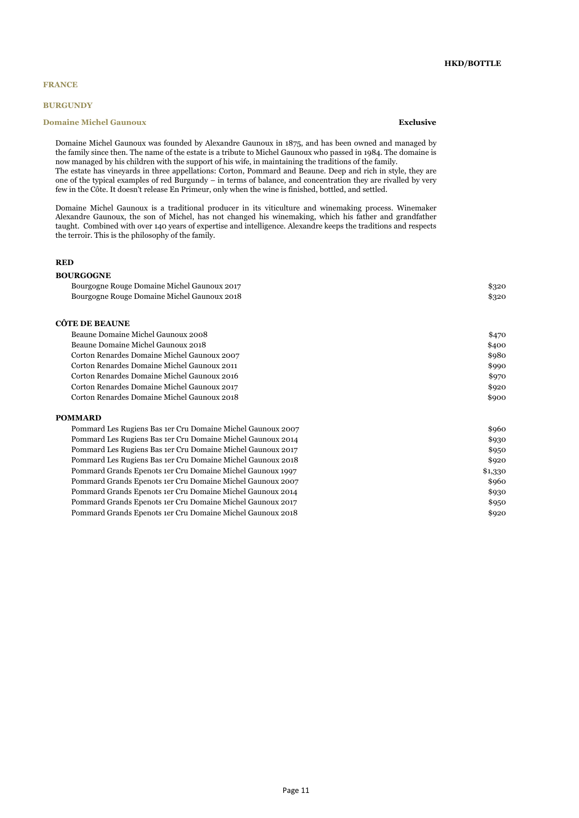### **BURGUNDY**

### **Domaine Michel Gaunoux Exclusive**

## **HKD/BOTTLE**

Domaine Michel Gaunoux was founded by Alexandre Gaunoux in 1875, and has been owned and managed by the family since then. The name of the estate is a tribute to Michel Gaunoux who passed in 1984. The domaine is now managed by his children with the support of his wife, in maintaining the traditions of the family. The estate has vineyards in three appellations: Corton, Pommard and Beaune. Deep and rich in style, they are one of the typical examples of red Burgundy – in terms of balance, and concentration they are rivalled by very few in the Côte. It doesn't release En Primeur, only when the wine is finished, bottled, and settled.

Domaine Michel Gaunoux is a traditional producer in its viticulture and winemaking process. Winemaker Alexandre Gaunoux, the son of Michel, has not changed his winemaking, which his father and grandfather taught. Combined with over 140 years of expertise and intelligence. Alexandre keeps the traditions and respects the terroir. This is the philosophy of the family.

## **RED**

#### **BOURGOGNE**

| Bourgogne Rouge Domaine Michel Gaunoux 2017 | \$320 |
|---------------------------------------------|-------|
| Bourgogne Rouge Domaine Michel Gaunoux 2018 | \$320 |

## **CÔTE DE BEAUNE**

| Beaune Domaine Michel Gaunoux 2008          | \$470 |
|---------------------------------------------|-------|
| Beaune Domaine Michel Gaunoux 2018          | \$400 |
| Corton Renardes Domaine Michel Gaunoux 2007 | \$980 |
| Corton Renardes Domaine Michel Gaunoux 2011 | \$990 |
| Corton Renardes Domaine Michel Gaunoux 2016 | \$970 |
| Corton Renardes Domaine Michel Gaunoux 2017 | \$920 |
| Corton Renardes Domaine Michel Gaunoux 2018 | \$900 |
|                                             |       |
| <b>POMMARD</b>                              |       |

| Pommard Les Rugiens Bas 1er Cru Domaine Michel Gaunoux 2007 | \$960   |
|-------------------------------------------------------------|---------|
| Pommard Les Rugiens Bas 1er Cru Domaine Michel Gaunoux 2014 | \$930   |
| Pommard Les Rugiens Bas 1er Cru Domaine Michel Gaunoux 2017 | \$950   |
| Pommard Les Rugiens Bas 1er Cru Domaine Michel Gaunoux 2018 | \$920   |
| Pommard Grands Epenots 1er Cru Domaine Michel Gaunoux 1997  | \$1,330 |
| Pommard Grands Epenots 1er Cru Domaine Michel Gaunoux 2007  | \$960   |
| Pommard Grands Epenots 1er Cru Domaine Michel Gaunoux 2014  | \$930   |
| Pommard Grands Epenots 1er Cru Domaine Michel Gaunoux 2017  | \$950   |
| Pommard Grands Epenots 1er Cru Domaine Michel Gaunoux 2018  | \$920   |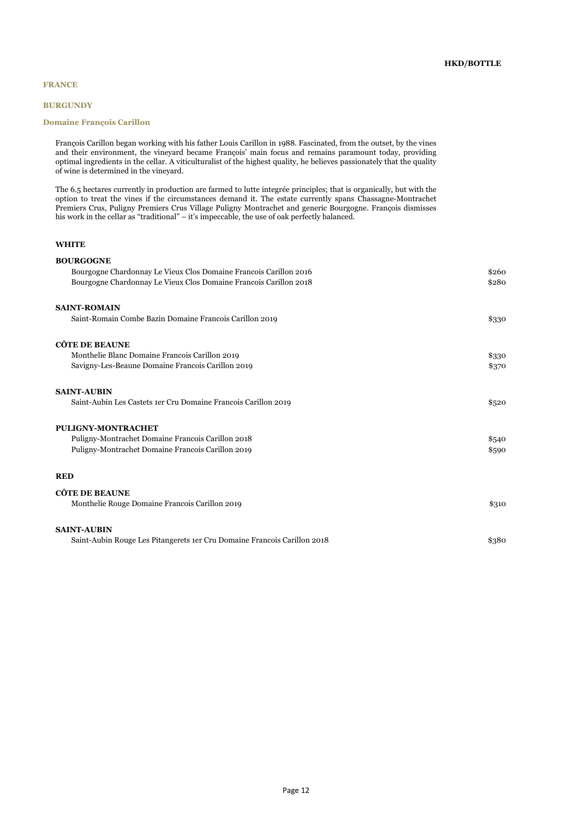## **HKD/BOTTLE**

## **FRANCE**

### **BURGUNDY**

#### **Domaine François Carillon**

François Carillon began working with his father Louis Carillon in 1988. Fascinated, from the outset, by the vines and their environment, the vineyard became François' main focus and remains paramount today, providing optimal ingredients in the cellar. A viticulturalist of the highest quality, he believes passionately that the quality of wine is determined in the vineyard.

The 6.5 hectares currently in production are farmed to lutte integrée principles; that is organically, but with the option to treat the vines if the circumstances demand it. The estate currently spans Chassagne-Montrachet Premiers Crus, Puligny Premiers Crus Village Puligny Montrachet and generic Bourgogne. François dismisses his work in the cellar as "traditional" – it's impeccable, the use of oak perfectly balanced.

### **WHITE**

| <b>BOURGOGNE</b>                                                          |       |
|---------------------------------------------------------------------------|-------|
| Bourgogne Chardonnay Le Vieux Clos Domaine Francois Carillon 2016         | \$260 |
| Bourgogne Chardonnay Le Vieux Clos Domaine Francois Carillon 2018         | \$280 |
| <b>SAINT-ROMAIN</b>                                                       |       |
| Saint-Romain Combe Bazin Domaine Francois Carillon 2019                   | \$330 |
| <b>CÔTE DE BEAUNE</b>                                                     |       |
| Monthelie Blanc Domaine Francois Carillon 2019                            | \$330 |
| Savigny-Les-Beaune Domaine Francois Carillon 2019                         | \$370 |
| <b>SAINT-AUBIN</b>                                                        |       |
| Saint-Aubin Les Castets 1er Cru Domaine Francois Carillon 2019            | \$520 |
| <b>PULIGNY-MONTRACHET</b>                                                 |       |
| Puligny-Montrachet Domaine Francois Carillon 2018                         | \$540 |
| Puligny-Montrachet Domaine Francois Carillon 2019                         | \$590 |
| <b>RED</b>                                                                |       |
| <b>CÔTE DE BEAUNE</b>                                                     |       |
| Monthelie Rouge Domaine Francois Carillon 2019                            | \$310 |
| <b>SAINT-AUBIN</b>                                                        |       |
| Saint-Aubin Rouge Les Pitangerets 1 er Cru Domaine Francois Carillon 2018 | \$380 |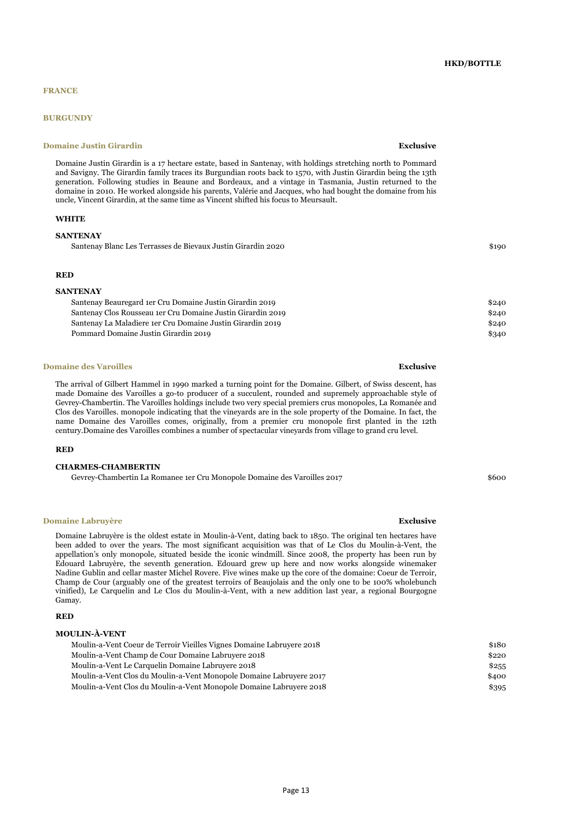## **BURGUNDY**

### **Domaine Justin Girardin Exclusive Exclusive Exclusive Exclusive**

Domaine Justin Girardin is a 17 hectare estate, based in Santenay, with holdings stretching north to Pommard and Savigny. The Girardin family traces its Burgundian roots back to 1570, with Justin Girardin being the 13th generation. Following studies in Beaune and Bordeaux, and a vintage in Tasmania, Justin returned to the domaine in 2010. He worked alongside his parents, Valérie and Jacques, who had bought the domaine from his uncle, Vincent Girardin, at the same time as Vincent shifted his focus to Meursault.

### **WHITE**

#### **SANTENAY**

Santenay Blanc Les Terrasses de Bievaux Justin Girardin 2020 \$190

#### **RED**

#### **SANTENAY**

| Santenay Beauregard 1er Cru Domaine Justin Girardin 2019    | \$240 |
|-------------------------------------------------------------|-------|
| Santenay Clos Rousseau 1er Cru Domaine Justin Girardin 2019 | \$240 |
| Santenay La Maladiere 1er Cru Domaine Justin Girardin 2019  | \$240 |
| Pommard Domaine Justin Girardin 2019                        | \$340 |
|                                                             |       |

#### **Domaine des Varoilles Exclusive Exclusive Exclusive Exclusive Exclusive Exclusive Exclusive Exclusive Exclusive**

The arrival of Gilbert Hammel in 1990 marked a turning point for the Domaine. Gilbert, of Swiss descent, has made Domaine des Varoilles a go-to producer of a succulent, rounded and supremely approachable style of Gevrey-Chambertin. The Varoilles holdings include two very special premiers crus monopoles, La Romanée and Clos des Varoilles. monopole indicating that the vineyards are in the sole property of the Domaine. In fact, the name Domaine des Varoilles comes, originally, from a premier cru monopole first planted in the 12th century.Domaine des Varoilles combines a number of spectacular vineyards from village to grand cru level.

#### **RED**

## **CHARMES-CHAMBERTIN**

Gevrey-Chambertin La Romanee 1er Cru Monopole Domaine des Varoilles 2017 \$600

#### **Domaine Labruyère Exclusive**

Domaine Labruyère is the oldest estate in Moulin-à-Vent, dating back to 1850. The original ten hectares have been added to over the years. The most significant acquisition was that of Le Clos du Moulin-à-Vent, the appellation's only monopole, situated beside the iconic windmill. Since 2008, the property has been run by Edouard Labruyère, the seventh generation. Edouard grew up here and now works alongside winemaker Nadine Gublin and cellar master Michel Rovere. Five wines make up the core of the domaine: Coeur de Terroir, Champ de Cour (arguably one of the greatest terroirs of Beaujolais and the only one to be 100% wholebunch vinified), Le Carquelin and Le Clos du Moulin-à-Vent, with a new addition last year, a regional Bourgogne Gamay.

#### **RED**

## **MOULIN-À-VENT**

| Moulin-a-Vent Coeur de Terroir Vieilles Vignes Domaine Labruyere 2018 | \$180 |
|-----------------------------------------------------------------------|-------|
| Moulin-a-Vent Champ de Cour Domaine Labruyere 2018                    | \$220 |
| Moulin-a-Vent Le Carquelin Domaine Labruvere 2018                     | \$255 |
| Moulin-a-Vent Clos du Moulin-a-Vent Monopole Domaine Labruyere 2017   | \$400 |
| Moulin-a-Vent Clos du Moulin-a-Vent Monopole Domaine Labruyere 2018   | \$395 |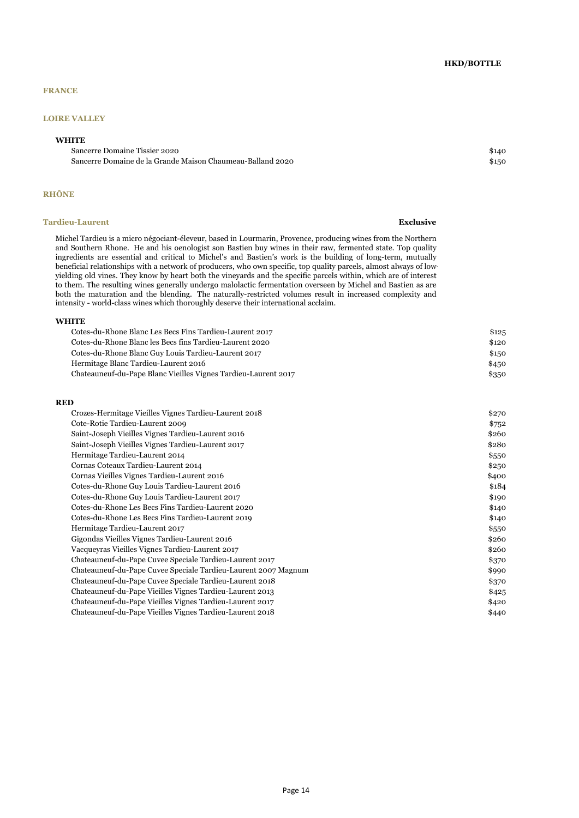## **HKD/BOTTLE**

## **FRANCE**

## **LOIRE VALLEY**

## **WHITE**

Sancerre Domaine Tissier 2020 \$140 Sancerre Domaine de la Grande Maison Chaumeau-Balland 2020 \$150

## **RHÔNE**

#### **Tardieu-Laurent Exclusive Exclusive Exclusive Exclusive Exclusive Exclusive Exclusive**

Michel Tardieu is a micro négociant-éleveur, based in Lourmarin, Provence, producing wines from the Northern and Southern Rhone. He and his oenologist son Bastien buy wines in their raw, fermented state. Top quality ingredients are essential and critical to Michel's and Bastien's work is the building of long-term, mutually beneficial relationships with a network of producers, who own specific, top quality parcels, almost always of lowyielding old vines. They know by heart both the vineyards and the specific parcels within, which are of interest to them. The resulting wines generally undergo malolactic fermentation overseen by Michel and Bastien as are both the maturation and the blending. The naturally-restricted volumes result in increased complexity and intensity - world-class wines which thoroughly deserve their international acclaim.

#### **WHITE**

| Cotes-du-Rhone Blanc Les Becs Fins Tardieu-Laurent 2017        | \$125 |
|----------------------------------------------------------------|-------|
| Cotes-du-Rhone Blanc les Becs fins Tardieu-Laurent 2020        | \$120 |
| Cotes-du-Rhone Blanc Guy Louis Tardieu-Laurent 2017            | \$150 |
| Hermitage Blanc Tardieu-Laurent 2016                           | \$450 |
| Chateauneuf-du-Pape Blanc Vieilles Vignes Tardieu-Laurent 2017 | \$350 |
|                                                                |       |

## **RED**

| Crozes-Hermitage Vieilles Vignes Tardieu-Laurent 2018          | \$270 |
|----------------------------------------------------------------|-------|
| Cote-Rotie Tardieu-Laurent 2009                                | \$752 |
| Saint-Joseph Vieilles Vignes Tardieu-Laurent 2016              | \$260 |
| Saint-Joseph Vieilles Vignes Tardieu-Laurent 2017              | \$280 |
| Hermitage Tardieu-Laurent 2014                                 | \$550 |
| Cornas Coteaux Tardieu-Laurent 2014                            | \$250 |
| Cornas Vieilles Vignes Tardieu-Laurent 2016                    | \$400 |
| Cotes-du-Rhone Guy Louis Tardieu-Laurent 2016                  | \$184 |
| Cotes-du-Rhone Guy Louis Tardieu-Laurent 2017                  | \$190 |
| Cotes-du-Rhone Les Becs Fins Tardieu-Laurent 2020              | \$140 |
| Cotes-du-Rhone Les Becs Fins Tardieu-Laurent 2019              | \$140 |
| Hermitage Tardieu-Laurent 2017                                 | \$550 |
| Gigondas Vieilles Vignes Tardieu-Laurent 2016                  | \$260 |
| Vacqueyras Vieilles Vignes Tardieu-Laurent 2017                | \$260 |
| Chateauneuf-du-Pape Cuvee Speciale Tardieu-Laurent 2017        | \$370 |
| Chateauneuf-du-Pape Cuvee Speciale Tardieu-Laurent 2007 Magnum | \$990 |
| Chateauneuf-du-Pape Cuvee Speciale Tardieu-Laurent 2018        | \$370 |
| Chateauneuf-du-Pape Vieilles Vignes Tardieu-Laurent 2013       | \$425 |
| Chateauneuf-du-Pape Vieilles Vignes Tardieu-Laurent 2017       | \$420 |
| Chateauneuf-du-Pape Vieilles Vignes Tardieu-Laurent 2018       | \$440 |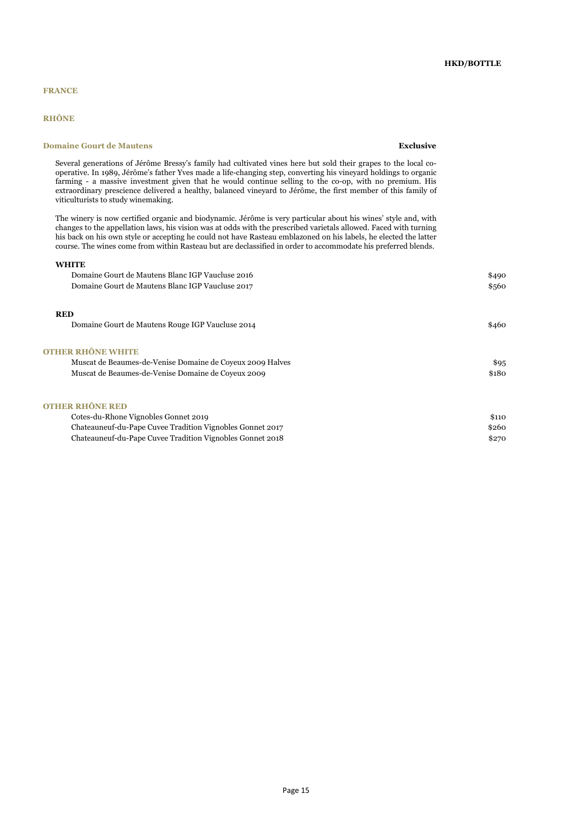## **RHÔNE**

**WHITE**

## **Domaine Gourt de Mautens Exclusive**

Several generations of Jérôme Bressy's family had cultivated vines here but sold their grapes to the local cooperative. In 1989, Jérôme's father Yves made a life-changing step, converting his vineyard holdings to organic farming - a massive investment given that he would continue selling to the co-op, with no premium. His extraordinary prescience delivered a healthy, balanced vineyard to Jérôme, the first member of this family of viticulturists to study winemaking.

The winery is now certified organic and biodynamic. Jérôme is very particular about his wines' style and, with changes to the appellation laws, his vision was at odds with the prescribed varietals allowed. Faced with turning his back on his own style or accepting he could not have Rasteau emblazoned on his labels, he elected the latter course. The wines come from within Rasteau but are declassified in order to accommodate his preferred blends.

| Domaine Gourt de Mautens Blanc IGP Vaucluse 2016          | \$490 |
|-----------------------------------------------------------|-------|
| Domaine Gourt de Mautens Blanc IGP Vaucluse 2017          | \$560 |
| <b>RED</b>                                                |       |
| Domaine Gourt de Mautens Rouge IGP Vaucluse 2014          | \$460 |
| <b>OTHER RHÔNE WHITE</b>                                  |       |
| Muscat de Beaumes-de-Venise Domaine de Coyeux 2009 Halves | \$95  |
| Muscat de Beaumes-de-Venise Domaine de Coyeux 2009        | \$180 |
| <b>OTHER RHÔNE RED</b>                                    |       |
| Cotes-du-Rhone Vignobles Gonnet 2019                      | \$110 |
| Chateauneuf-du-Pape Cuvee Tradition Vignobles Gonnet 2017 | \$260 |

Chateauneuf-du-Pape Cuvee Tradition Vignobles Gonnet 2018 \$270

## **HKD/BOTTLE**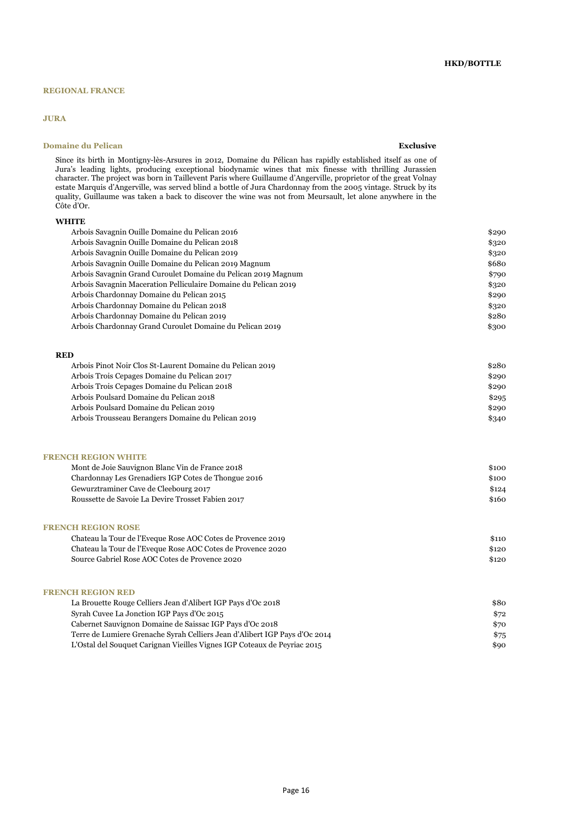## **REGIONAL FRANCE**

## **JURA**

## **Domaine du Pelican Exclusive**

## **HKD/BOTTLE**

Since its birth in Montigny-lès-Arsures in 2012, Domaine du Pélican has rapidly established itself as one of Jura's leading lights, producing exceptional biodynamic wines that mix finesse with thrilling Jurassien character. The project was born in Taillevent Paris where Guillaume d'Angerville, proprietor of the great Volnay estate Marquis d'Angerville, was served blind a bottle of Jura Chardonnay from the 2005 vintage. Struck by its quality, Guillaume was taken a back to discover the wine was not from Meursault, let alone anywhere in the Côte d'Or.

## **WHITE**

| \$320<br>\$320<br>\$680 |
|-------------------------|
|                         |
|                         |
|                         |
| \$790                   |
| \$320                   |
| \$290                   |
| \$320                   |
| \$280                   |
| \$300                   |
|                         |
|                         |

## **RED**

| Arbois Pinot Noir Clos St-Laurent Domaine du Pelican 2019 | \$280 |
|-----------------------------------------------------------|-------|
| Arbois Trois Cepages Domaine du Pelican 2017              | \$290 |
| Arbois Trois Cepages Domaine du Pelican 2018              | \$290 |
| Arbois Poulsard Domaine du Pelican 2018                   | \$295 |
| Arbois Poulsard Domaine du Pelican 2019                   | \$290 |
| Arbois Trousseau Berangers Domaine du Pelican 2019        | \$340 |

#### **FRENCH REGION WHITE**

| Mont de Joie Sauvignon Blanc Vin de France 2018     | \$100 |
|-----------------------------------------------------|-------|
| Chardonnay Les Grenadiers IGP Cotes de Thongue 2016 | \$100 |
| Gewurztraminer Cave de Cleebourg 2017               | \$124 |
| Roussette de Savoie La Devire Trosset Fabien 2017   | \$160 |

## **FRENCH REGION ROSE**

| \$110 |
|-------|
| \$120 |
| \$120 |
|       |

## **FRENCH REGION RED**

| La Brouette Rouge Celliers Jean d'Alibert IGP Pays d'Oc 2018               | \$80 |
|----------------------------------------------------------------------------|------|
| Syrah Cuvee La Jonction IGP Pays d'Oc 2015                                 | \$72 |
| Cabernet Sauvignon Domaine de Saissac IGP Pays d'Oc 2018                   | \$70 |
| Terre de Lumiere Grenache Syrah Celliers Jean d'Alibert IGP Pays d'Oc 2014 | \$75 |
| L'Ostal del Souquet Carignan Vieilles Vignes IGP Coteaux de Peyriac 2015   | \$90 |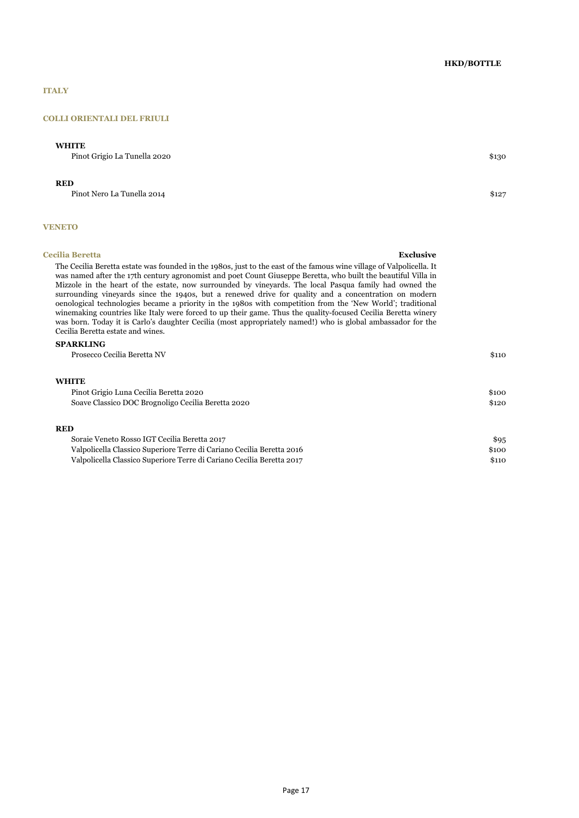## **HKD/BOTTLE**

## **ITALY**

### **COLLI ORIENTALI DEL FRIULI**

## **WHITE**

Pinot Grigio La Tunella 2020 \$130

## **RED**

Pinot Nero La Tunella 2014 \$127

## **VENETO**

#### **Cecilia Beretta Exclusive**

The Cecilia Beretta estate was founded in the 1980s, just to the east of the famous wine village of Valpolicella. It was named after the 17th century agronomist and poet Count Giuseppe Beretta, who built the beautiful Villa in Mizzole in the heart of the estate, now surrounded by vineyards. The local Pasqua family had owned the surrounding vineyards since the 1940s, but a renewed drive for quality and a concentration on modern oenological technologies became a priority in the 1980s with competition from the 'New World'; traditional winemaking countries like Italy were forced to up their game. Thus the quality-focused Cecilia Beretta winery was born. Today it is Carlo's daughter Cecilia (most appropriately named!) who is global ambassador for the Cecilia Beretta estate and wines.

## **SPARKLING**

| Prosecco Cecilia Beretta NV                                           | \$110 |
|-----------------------------------------------------------------------|-------|
| <b>WHITE</b>                                                          |       |
| Pinot Grigio Luna Cecilia Beretta 2020                                | \$100 |
| Soave Classico DOC Brognoligo Cecilia Beretta 2020                    | \$120 |
| <b>RED</b>                                                            |       |
| Soraie Veneto Rosso IGT Cecilia Beretta 2017                          | \$95  |
| Valpolicella Classico Superiore Terre di Cariano Cecilia Beretta 2016 | \$100 |
| Valpolicella Classico Superiore Terre di Cariano Cecilia Beretta 2017 | \$110 |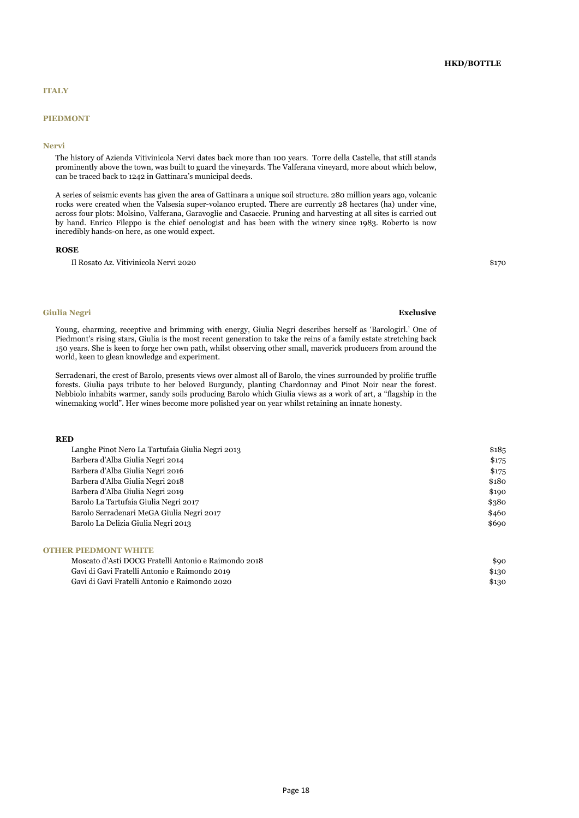### **PIEDMONT**

#### **Nervi**

The history of Azienda Vitivinicola Nervi dates back more than 100 years. Torre della Castelle, that still stands prominently above the town, was built to guard the vineyards. The Valferana vineyard, more about which below, can be traced back to 1242 in Gattinara's municipal deeds.

A series of seismic events has given the area of Gattinara a unique soil structure. 280 million years ago, volcanic rocks were created when the Valsesia super-volanco erupted. There are currently 28 hectares (ha) under vine, across four plots: Molsino, Valferana, Garavoglie and Casaccie. Pruning and harvesting at all sites is carried out by hand. Enrico Fileppo is the chief oenologist and has been with the winery since 1983. Roberto is now incredibly hands-on here, as one would expect.

#### **ROSE**

Il Rosato Az. Vitivinicola Nervi 2020 \$170

## **Giulia Negri Exclusive**

Young, charming, receptive and brimming with energy, Giulia Negri describes herself as 'Barologirl.' One of Piedmont's rising stars, Giulia is the most recent generation to take the reins of a family estate stretching back 150 years. She is keen to forge her own path, whilst observing other small, maverick producers from around the world, keen to glean knowledge and experiment.

Serradenari, the crest of Barolo, presents views over almost all of Barolo, the vines surrounded by prolific truffle forests. Giulia pays tribute to her beloved Burgundy, planting Chardonnay and Pinot Noir near the forest. Nebbiolo inhabits warmer, sandy soils producing Barolo which Giulia views as a work of art, a "flagship in the winemaking world". Her wines become more polished year on year whilst retaining an innate honesty.

#### **RED**

| Langhe Pinot Nero La Tartufaia Giulia Negri 2013 | \$185 |
|--------------------------------------------------|-------|
| Barbera d'Alba Giulia Negri 2014                 | \$175 |
| Barbera d'Alba Giulia Negri 2016                 | \$175 |
| Barbera d'Alba Giulia Negri 2018                 | \$180 |
| Barbera d'Alba Giulia Negri 2019                 | \$190 |
| Barolo La Tartufaia Giulia Negri 2017            | \$380 |
| Barolo Serradenari MeGA Giulia Negri 2017        | \$460 |
| Barolo La Delizia Giulia Negri 2013              | \$690 |
|                                                  |       |

## **OTHER PIEDMONT WHITE**

| Moscato d'Asti DOCG Fratelli Antonio e Raimondo 2018 | \$90  |
|------------------------------------------------------|-------|
| Gavi di Gavi Fratelli Antonio e Raimondo 2019        | \$130 |
| Gavi di Gavi Fratelli Antonio e Raimondo 2020        | \$130 |

Page 18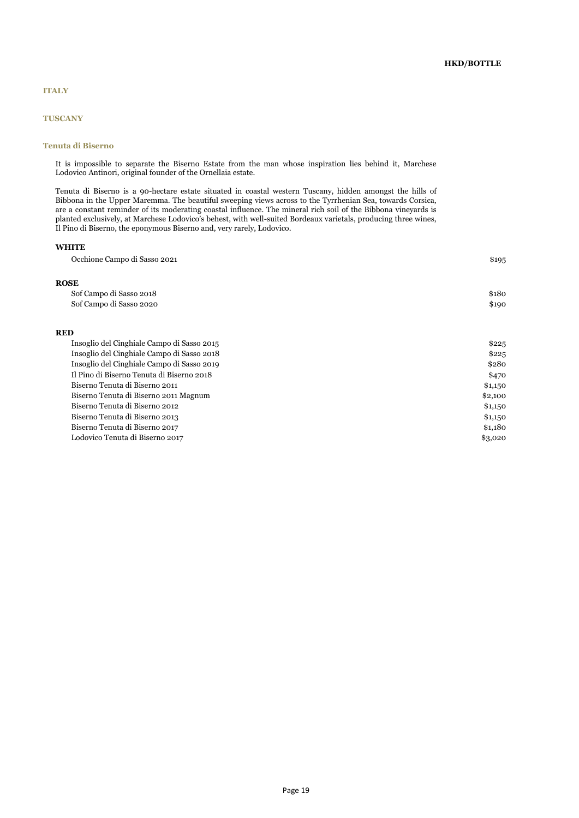## **TUSCANY**

## **Tenuta di Biserno**

It is impossible to separate the Biserno Estate from the man whose inspiration lies behind it, Marchese Lodovico Antinori, original founder of the Ornellaia estate.

Tenuta di Biserno is a 90-hectare estate situated in coastal western Tuscany, hidden amongst the hills of Bibbona in the Upper Maremma. The beautiful sweeping views across to the Tyrrhenian Sea, towards Corsica, are a constant reminder of its moderating coastal influence. The mineral rich soil of the Bibbona vineyards is planted exclusively, at Marchese Lodovico's behest, with well-suited Bordeaux varietals, producing three wines, Il Pino di Biserno, the eponymous Biserno and, very rarely, Lodovico.

## **WHITE**

| Occhione Campo di Sasso 2021               | \$195   |
|--------------------------------------------|---------|
| <b>ROSE</b>                                |         |
| Sof Campo di Sasso 2018                    | \$180   |
| Sof Campo di Sasso 2020                    | \$190   |
| <b>RED</b>                                 |         |
| Insoglio del Cinghiale Campo di Sasso 2015 | \$225   |
| Insoglio del Cinghiale Campo di Sasso 2018 | \$225   |
| Insoglio del Cinghiale Campo di Sasso 2019 | \$280   |
| Il Pino di Biserno Tenuta di Biserno 2018  | \$470   |
| Biserno Tenuta di Biserno 2011             | \$1,150 |
| Biserno Tenuta di Biserno 2011 Magnum      | \$2,100 |
| Biserno Tenuta di Biserno 2012             | \$1,150 |
| Biserno Tenuta di Biserno 2013             | \$1,150 |
| Biserno Tenuta di Biserno 2017             | \$1,180 |
| Lodovico Tenuta di Biserno 2017            | \$3,020 |
|                                            |         |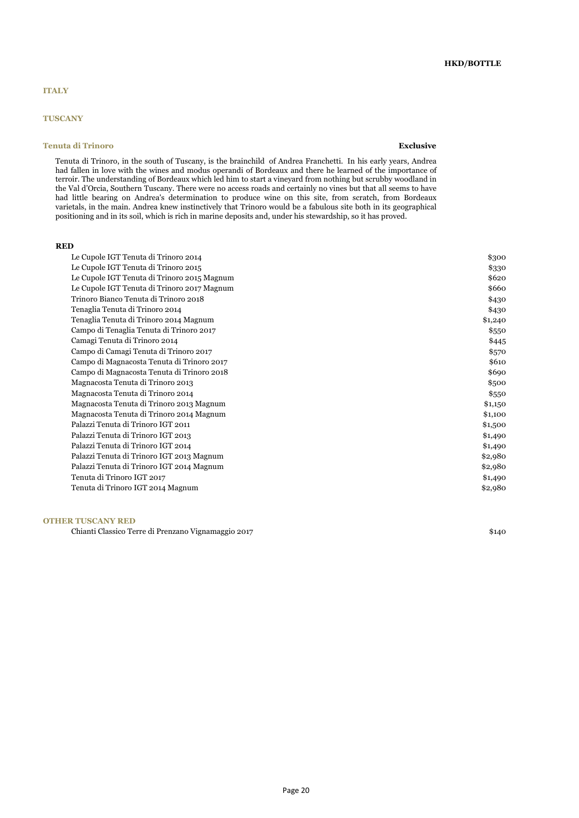## **TUSCANY**

## **Tenuta di Trinoro Exclusive**

Tenuta di Trinoro, in the south of Tuscany, is the brainchild of Andrea Franchetti. In his early years, Andrea had fallen in love with the wines and modus operandi of Bordeaux and there he learned of the importance of terroir. The understanding of Bordeaux which led him to start a vineyard from nothing but scrubby woodland in the Val d'Orcia, Southern Tuscany. There were no access roads and certainly no vines but that all seems to have had little bearing on Andrea's determination to produce wine on this site, from scratch, from Bordeaux varietals, in the main. Andrea knew instinctively that Trinoro would be a fabulous site both in its geographical positioning and in its soil, which is rich in marine deposits and, under his stewardship, so it has proved.

#### **RED**

| Le Cupole IGT Tenuta di Trinoro 2014        | \$300   |
|---------------------------------------------|---------|
| Le Cupole IGT Tenuta di Trinoro 2015        | \$330   |
| Le Cupole IGT Tenuta di Trinoro 2015 Magnum | \$620   |
| Le Cupole IGT Tenuta di Trinoro 2017 Magnum | \$660   |
| Trinoro Bianco Tenuta di Trinoro 2018       | \$430   |
| Tenaglia Tenuta di Trinoro 2014             | \$430   |
| Tenaglia Tenuta di Trinoro 2014 Magnum      | \$1,240 |
| Campo di Tenaglia Tenuta di Trinoro 2017    | \$550   |
| Camagi Tenuta di Trinoro 2014               | \$445   |
| Campo di Camagi Tenuta di Trinoro 2017      | \$570   |
| Campo di Magnacosta Tenuta di Trinoro 2017  | \$610   |
| Campo di Magnacosta Tenuta di Trinoro 2018  | \$690   |
| Magnacosta Tenuta di Trinoro 2013           | \$500   |
| Magnacosta Tenuta di Trinoro 2014           | \$550   |
| Magnacosta Tenuta di Trinoro 2013 Magnum    | \$1,150 |
| Magnacosta Tenuta di Trinoro 2014 Magnum    | \$1,100 |
| Palazzi Tenuta di Trinoro IGT 2011          | \$1,500 |
| Palazzi Tenuta di Trinoro IGT 2013          | \$1,490 |
| Palazzi Tenuta di Trinoro IGT 2014          | \$1,490 |
| Palazzi Tenuta di Trinoro IGT 2013 Magnum   | \$2,980 |
| Palazzi Tenuta di Trinoro IGT 2014 Magnum   | \$2,980 |
| Tenuta di Trinoro IGT 2017                  | \$1,490 |
| Tenuta di Trinoro IGT 2014 Magnum           | \$2,980 |
|                                             |         |

### **OTHER TUSCANY RED**

Chianti Classico Terre di Prenzano Vignamaggio 2017 *\$*140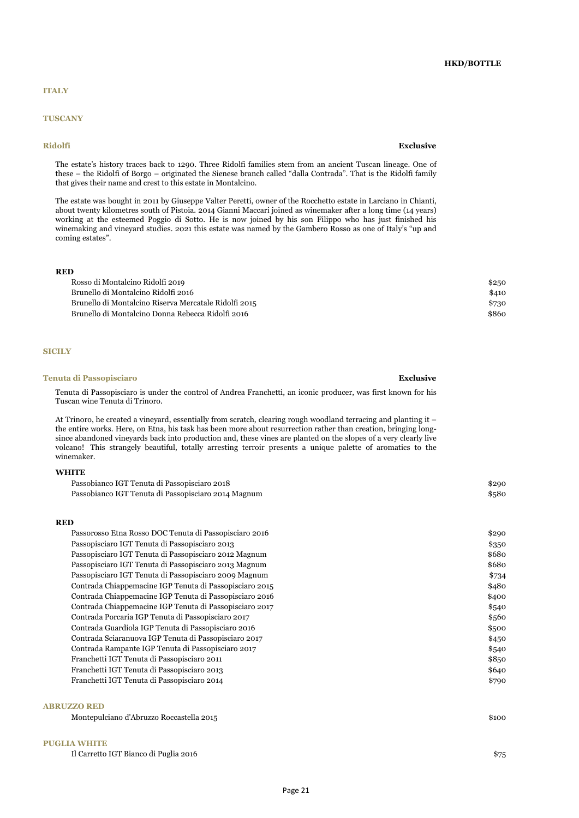## **TUSCANY**

#### **Ridolfi Exclusive**

The estate's history traces back to 1290. Three Ridolfi families stem from an ancient Tuscan lineage. One of these – the Ridolfi of Borgo – originated the Sienese branch called "dalla Contrada". That is the Ridolfi family that gives their name and crest to this estate in Montalcino.

The estate was bought in 2011 by Giuseppe Valter Peretti, owner of the Rocchetto estate in Larciano in Chianti, about twenty kilometres south of Pistoia. 2014 Gianni Maccari joined as winemaker after a long time (14 years) working at the esteemed Poggio di Sotto. He is now joined by his son Filippo who has just finished his winemaking and vineyard studies. 2021 this estate was named by the Gambero Rosso as one of Italy's "up and coming estates".

#### **RED**

| Rosso di Montalcino Ridolfi 2019                      | \$250        |
|-------------------------------------------------------|--------------|
| Brunello di Montalcino Ridolfi 2016                   | <b>\$410</b> |
| Brunello di Montalcino Riserva Mercatale Ridolfi 2015 | \$730        |
| Brunello di Montalcino Donna Rebecca Ridolfi 2016     | \$86c        |

#### **SICILY**

#### **Tenuta di Passopisciaro Exclusive**

Tenuta di Passopisciaro is under the control of Andrea Franchetti, an iconic producer, was first known for his Tuscan wine Tenuta di Trinoro.

At Trinoro, he created a vineyard, essentially from scratch, clearing rough woodland terracing and planting it – the entire works. Here, on Etna, his task has been more about resurrection rather than creation, bringing longsince abandoned vineyards back into production and, these vines are planted on the slopes of a very clearly live volcano! This strangely beautiful, totally arresting terroir presents a unique palette of aromatics to the winemaker.

### **WHITE**

| Passobianco IGT Tenuta di Passopisciaro 2018        | \$290 |
|-----------------------------------------------------|-------|
| Passobianco IGT Tenuta di Passopisciaro 2014 Magnum | \$580 |

#### **RED**

| Passorosso Etna Rosso DOC Tenuta di Passopisciaro 2016  | \$290 |
|---------------------------------------------------------|-------|
| Passopisciaro IGT Tenuta di Passopisciaro 2013          | \$350 |
| Passopisciaro IGT Tenuta di Passopisciaro 2012 Magnum   | \$680 |
| Passopisciaro IGT Tenuta di Passopisciaro 2013 Magnum   | \$680 |
| Passopisciaro IGT Tenuta di Passopisciaro 2009 Magnum   | \$734 |
| Contrada Chiappemacine IGP Tenuta di Passopisciaro 2015 | \$480 |
| Contrada Chiappemacine IGP Tenuta di Passopisciaro 2016 | \$400 |
| Contrada Chiappemacine IGP Tenuta di Passopisciaro 2017 | \$540 |
| Contrada Porcaria IGP Tenuta di Passopisciaro 2017      | \$560 |
| Contrada Guardiola IGP Tenuta di Passopisciaro 2016     | \$500 |
| Contrada Sciaranuova IGP Tenuta di Passopisciaro 2017   | \$450 |
| Contrada Rampante IGP Tenuta di Passopisciaro 2017      | \$540 |
| Franchetti IGT Tenuta di Passopisciaro 2011             | \$850 |
| Franchetti IGT Tenuta di Passopisciaro 2013             | \$640 |
| Franchetti IGT Tenuta di Passopisciaro 2014             | \$790 |
|                                                         |       |
|                                                         |       |

## **ABRUZZO RED**

Montepulciano d'Abruzzo Roccastella 2015 \$100

## **PUGLIA WHITE**

Il Carretto IGT Bianco di Puglia 2016 \$75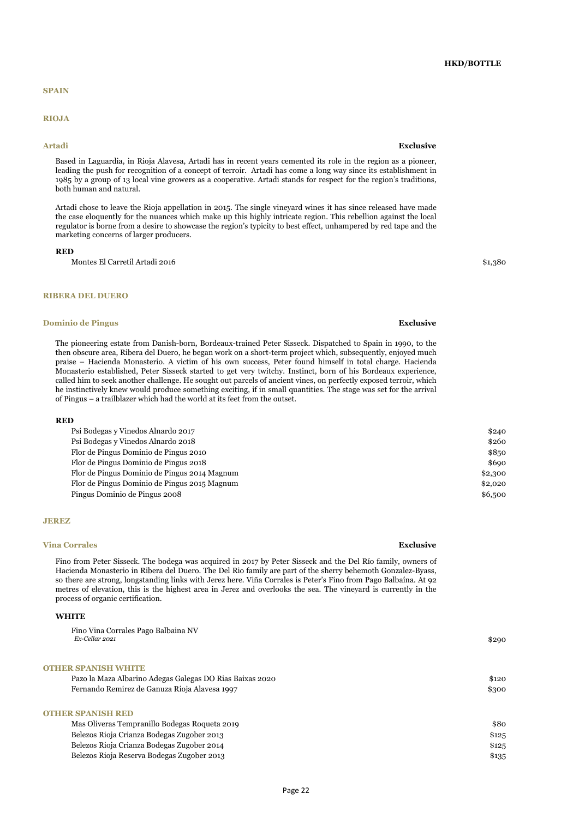### **SPAIN**

### **RIOJA**

Based in Laguardia, in Rioja Alavesa, Artadi has in recent years cemented its role in the region as a pioneer, leading the push for recognition of a concept of terroir. Artadi has come a long way since its establishment in 1985 by a group of 13 local vine growers as a cooperative. Artadi stands for respect for the region's traditions, both human and natural.

Artadi chose to leave the Rioja appellation in 2015. The single vineyard wines it has since released have made the case eloquently for the nuances which make up this highly intricate region. This rebellion against the local regulator is borne from a desire to showcase the region's typicity to best effect, unhampered by red tape and the marketing concerns of larger producers.

#### **RED**

Montes El Carretil Artadi 2016 \$1,380

### **RIBERA DEL DUERO**

### **Dominio de Pingus Exclusive**

The pioneering estate from Danish-born, Bordeaux-trained Peter Sisseck. Dispatched to Spain in 1990, to the then obscure area, Ribera del Duero, he began work on a short-term project which, subsequently, enjoyed much praise – Hacienda Monasterio. A victim of his own success, Peter found himself in total charge. Hacienda Monasterio established, Peter Sisseck started to get very twitchy. Instinct, born of his Bordeaux experience, called him to seek another challenge. He sought out parcels of ancient vines, on perfectly exposed terroir, which he instinctively knew would produce something exciting, if in small quantities. The stage was set for the arrival of Pingus – a trailblazer which had the world at its feet from the outset.

#### **RED**

| 89 D                                         |         |
|----------------------------------------------|---------|
| Psi Bodegas y Vinedos Alnardo 2017           | \$240   |
| Psi Bodegas y Vinedos Alnardo 2018           | \$260   |
| Flor de Pingus Dominio de Pingus 2010        | \$850   |
| Flor de Pingus Dominio de Pingus 2018        | \$690   |
| Flor de Pingus Dominio de Pingus 2014 Magnum | \$2,300 |
| Flor de Pingus Dominio de Pingus 2015 Magnum | \$2,020 |
| Pingus Dominio de Pingus 2008                | \$6,500 |
|                                              |         |

#### **JEREZ**

#### **Vina Corrales Exclusive**

Fino from Peter Sisseck. The bodega was acquired in 2017 by Peter Sisseck and the Del Río family, owners of Hacienda Monasterio in Ribera del Duero. The Del Rio family are part of the sherry behemoth Gonzalez-Byass, so there are strong, longstanding links with Jerez here. Viña Corrales is Peter's Fino from Pago Balbaína. At 92 metres of elevation, this is the highest area in Jerez and overlooks the sea. The vineyard is currently in the process of organic certification.

## **WHITE**

| Fino Vina Corrales Pago Balbaina NV<br>Ex-Cellar 2021    | \$290 |
|----------------------------------------------------------|-------|
| <b>OTHER SPANISH WHITE</b>                               |       |
| Pazo la Maza Albarino Adegas Galegas DO Rias Baixas 2020 | \$120 |
| Fernando Remirez de Ganuza Rioja Alavesa 1997            | \$300 |
| <b>OTHER SPANISH RED</b>                                 |       |
| Mas Oliveras Tempranillo Bodegas Roqueta 2019            | \$80  |
| Belezos Rioja Crianza Bodegas Zugober 2013               | \$125 |
| Belezos Rioja Crianza Bodegas Zugober 2014               | \$125 |
| Belezos Rioja Reserva Bodegas Zugober 2013               | \$135 |

#### **Artadi Exclusive**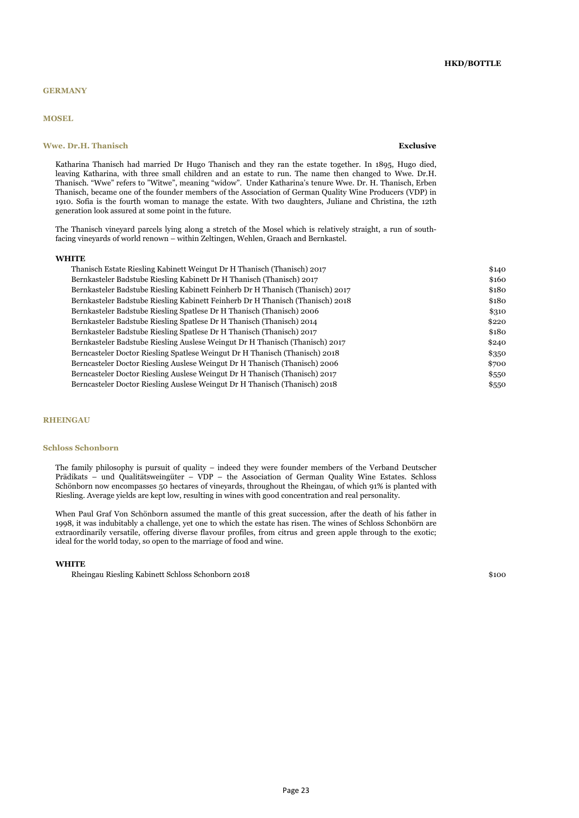### **GERMANY**

### **MOSEL**

## **Wwe. Dr.H. Thanisch Exclusive**

Katharina Thanisch had married Dr Hugo Thanisch and they ran the estate together. In 1895, Hugo died, leaving Katharina, with three small children and an estate to run. The name then changed to Wwe. Dr.H. Thanisch. "Wwe" refers to "Witwe", meaning "widow". Under Katharina's tenure Wwe. Dr. H. Thanisch, Erben Thanisch, became one of the founder members of the Association of German Quality Wine Producers (VDP) in 1910. Sofia is the fourth woman to manage the estate. With two daughters, Juliane and Christina, the 12th generation look assured at some point in the future.

The Thanisch vineyard parcels lying along a stretch of the Mosel which is relatively straight, a run of southfacing vineyards of world renown – within Zeltingen, Wehlen, Graach and Bernkastel.

#### **WHITE**

| Thanisch Estate Riesling Kabinett Weingut Dr H Thanisch (Thanisch) 2017        | \$140 |
|--------------------------------------------------------------------------------|-------|
| Bernkasteler Badstube Riesling Kabinett Dr H Thanisch (Thanisch) 2017          | \$160 |
| Bernkasteler Badstube Riesling Kabinett Feinherb Dr H Thanisch (Thanisch) 2017 | \$180 |
| Bernkasteler Badstube Riesling Kabinett Feinherb Dr H Thanisch (Thanisch) 2018 | \$180 |
| Bernkasteler Badstube Riesling Spatlese Dr H Thanisch (Thanisch) 2006          | \$310 |
| Bernkasteler Badstube Riesling Spatlese Dr H Thanisch (Thanisch) 2014          | \$220 |
| Bernkasteler Badstube Riesling Spatlese Dr H Thanisch (Thanisch) 2017          | \$180 |
| Bernkasteler Badstube Riesling Auslese Weingut Dr H Thanisch (Thanisch) 2017   | \$240 |
| Berncasteler Doctor Riesling Spatlese Weingut Dr H Thanisch (Thanisch) 2018    | \$350 |
| Berncasteler Doctor Riesling Auslese Weingut Dr H Thanisch (Thanisch) 2006     | \$700 |
| Berncasteler Doctor Riesling Auslese Weingut Dr H Thanisch (Thanisch) 2017     | \$550 |
| Berncasteler Doctor Riesling Auslese Weingut Dr H Thanisch (Thanisch) 2018     | \$550 |
|                                                                                |       |

#### **RHEINGAU**

#### **Schloss Schonborn**

The family philosophy is pursuit of quality – indeed they were founder members of the Verband Deutscher Prädikats – und Qualitätsweingüter – VDP – the Association of German Quality Wine Estates. Schloss Schönborn now encompasses 50 hectares of vineyards, throughout the Rheingau, of which 91% is planted with Riesling. Average yields are kept low, resulting in wines with good concentration and real personality.

When Paul Graf Von Schönborn assumed the mantle of this great succession, after the death of his father in 1998, it was indubitably a challenge, yet one to which the estate has risen. The wines of Schloss Schonbörn are extraordinarily versatile, offering diverse flavour profiles, from citrus and green apple through to the exotic; ideal for the world today, so open to the marriage of food and wine.

#### **WHITE**

Rheingau Riesling Kabinett Schloss Schonborn 2018 \$100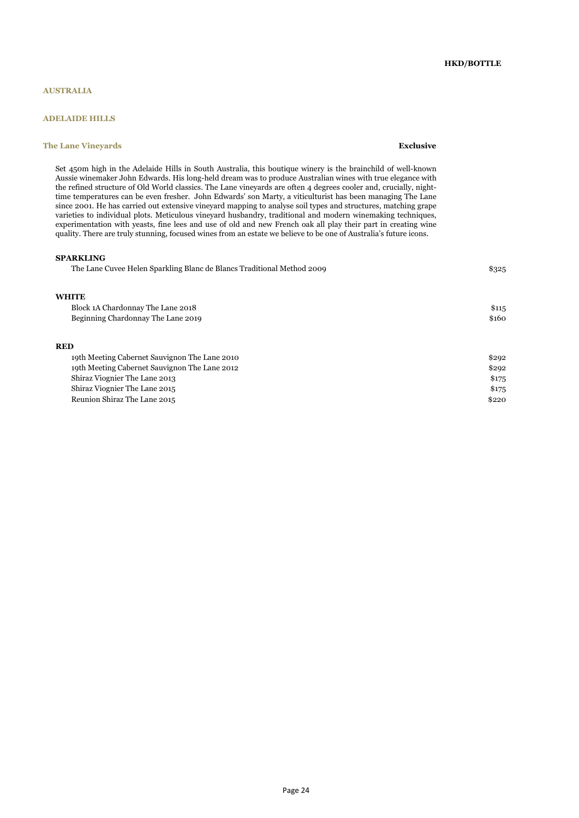## **AUSTRALIA**

## **ADELAIDE HILLS**

### **The Lane Vineyards Exclusive**

Set 450m high in the Adelaide Hills in South Australia, this boutique winery is the brainchild of well-known Aussie winemaker John Edwards. His long-held dream was to produce Australian wines with true elegance with the refined structure of Old World classics. The Lane vineyards are often 4 degrees cooler and, crucially, nighttime temperatures can be even fresher. John Edwards' son Marty, a viticulturist has been managing The Lane since 2001. He has carried out extensive vineyard mapping to analyse soil types and structures, matching grape varieties to individual plots. Meticulous vineyard husbandry, traditional and modern winemaking techniques, experimentation with yeasts, fine lees and use of old and new French oak all play their part in creating wine quality. There are truly stunning, focused wines from an estate we believe to be one of Australia's future icons.

#### **SPARKLING**

| The Lane Cuvee Helen Sparkling Blanc de Blancs Traditional Method 2009 | \$325 |
|------------------------------------------------------------------------|-------|
| <b>WHITE</b>                                                           |       |
| Block 1A Chardonnay The Lane 2018                                      | \$115 |
| Beginning Chardonnay The Lane 2019                                     | \$160 |
| <b>RED</b>                                                             |       |
| 19th Meeting Cabernet Sauvignon The Lane 2010                          | \$292 |
| 19th Meeting Cabernet Sauvignon The Lane 2012                          | \$292 |

| 19th Meeting Cabernet Sauvignon The Lane 2012 | \$292 |
|-----------------------------------------------|-------|
| Shiraz Viognier The Lane 2013                 | \$175 |
| Shiraz Viognier The Lane 2015                 | \$175 |
| Reunion Shiraz The Lane 2015                  | \$220 |
|                                               |       |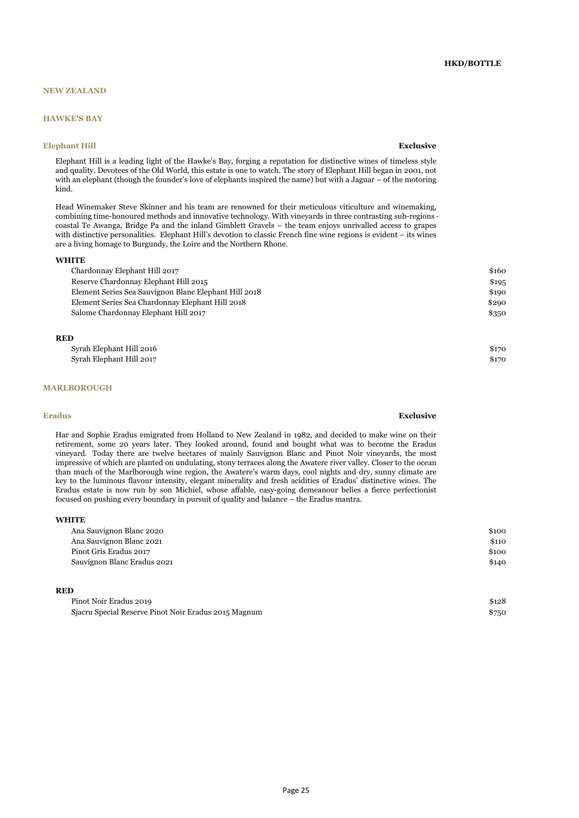## **NEW ZEALAND**

## **HAWKE'S BAY**

### **Elephant Hill Exclusive**

Elephant Hill is a leading light of the Hawke's Bay, forging a reputation for distinctive wines of timeless style and quality. Devotees of the Old World, this estate is one to watch. The story of Elephant Hill began in 2001, not with an elephant (though the founder's love of elephants inspired the name) but with a Jaguar – of the motoring kind.

Head Winemaker Steve Skinner and his team are renowned for their meticulous viticulture and winemaking, combining time-honoured methods and innovative technology. With vineyards in three contrasting sub-regions coastal Te Awanga, Bridge Pa and the inland Gimblett Gravels – the team enjoys unrivalled access to grapes with distinctive personalities. Elephant Hill's devotion to classic French fine wine regions is evident – its wines are a living homage to Burgundy, the Loire and the Northern Rhone.

#### **WHITE**

| Chardonnay Elephant Hill 2017                         | \$160 |
|-------------------------------------------------------|-------|
| Reserve Chardonnay Elephant Hill 2015                 | \$195 |
| Element Series Sea Sauvignon Blanc Elephant Hill 2018 | \$190 |
| Element Series Sea Chardonnay Elephant Hill 2018      | \$290 |
| Salome Chardonnay Elephant Hill 2017                  | \$350 |
|                                                       |       |

### **RED**

| Syrah Elephant Hill 2016 | \$17 <sub>C</sub> |
|--------------------------|-------------------|
| Syrah Elephant Hill 2017 | \$17 <sub>C</sub> |

#### **MARLBOROUGH**

#### **Eradus Exclusive**

Har and Sophie Eradus emigrated from Holland to New Zealand in 1982, and decided to make wine on their retirement, some 20 years later. They looked around, found and bought what was to become the Eradus vineyard. Today there are twelve hectares of mainly Sauvignon Blanc and Pinot Noir vineyards, the most impressive of which are planted on undulating, stony terraces along the Awatere river valley. Closer to the ocean than much of the Marlborough wine region, the Awatere's warm days, cool nights and dry, sunny climate are key to the luminous flavour intensity, elegant minerality and fresh acidities of Eradus' distinctive wines. The Eradus estate is now run by son Michiel, whose affable, easy-going demeanour belies a fierce perfectionist focused on pushing every boundary in pursuit of quality and balance – the Eradus mantra.

#### **WHITE**

| Ana Sauvignon Blanc 2020    | \$100 |
|-----------------------------|-------|
| Ana Sauvignon Blanc 2021    | \$110 |
| Pinot Gris Eradus 2017      | \$100 |
| Sauvignon Blanc Eradus 2021 | \$140 |
|                             |       |

#### **RED**

| Pinot Noir Eradus 2019                               | \$128 |
|------------------------------------------------------|-------|
| Sjacru Special Reserve Pinot Noir Eradus 2015 Magnum | \$750 |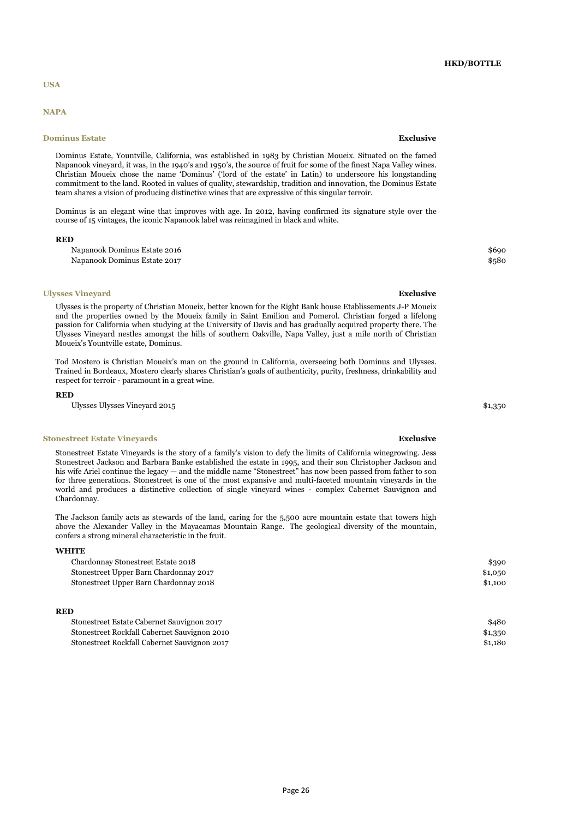#### **USA**

## **NAPA**

#### **Dominus Estate Exclusive Exclusive Exclusive**

Dominus Estate, Yountville, California, was established in 1983 by Christian Moueix. Situated on the famed Napanook vineyard, it was, in the 1940's and 1950's, the source of fruit for some of the finest Napa Valley wines. Christian Moueix chose the name 'Dominus' ('lord of the estate' in Latin) to underscore his longstanding commitment to the land. Rooted in values of quality, stewardship, tradition and innovation, the Dominus Estate team shares a vision of producing distinctive wines that are expressive of this singular terroir.

Dominus is an elegant wine that improves with age. In 2012, having confirmed its signature style over the course of 15 vintages, the iconic Napanook label was reimagined in black and white.

#### **RED**

Napanook Dominus Estate 2016 \$690 Napanook Dominus Estate 2017 **\$580** 

#### **Ulysses Vineyard Exclusive**

Ulysses is the property of Christian Moueix, better known for the Right Bank house Etablissements J-P Moueix and the properties owned by the Moueix family in Saint Emilion and Pomerol. Christian forged a lifelong passion for California when studying at the University of Davis and has gradually acquired property there. The Ulysses Vineyard nestles amongst the hills of southern Oakville, Napa Valley, just a mile north of Christian Moueix's Yountville estate, Dominus.

Tod Mostero is Christian Moueix's man on the ground in California, overseeing both Dominus and Ulysses. Trained in Bordeaux, Mostero clearly shares Christian's goals of authenticity, purity, freshness, drinkability and respect for terroir - paramount in a great wine.

#### **RED**

Ulysses Ulysses Vineyard 2015

#### **Stonestreet Estate Vineyards Exclusive**

Stonestreet Estate Vineyards is the story of a family's vision to defy the limits of California winegrowing. Jess Stonestreet Jackson and Barbara Banke established the estate in 1995, and their son Christopher Jackson and his wife Ariel continue the legacy — and the middle name "Stonestreet" has now been passed from father to son for three generations. Stonestreet is one of the most expansive and multi-faceted mountain vineyards in the world and produces a distinctive collection of single vineyard wines - complex Cabernet Sauvignon and Chardonnay.

The Jackson family acts as stewards of the land, caring for the 5,500 acre mountain estate that towers high above the Alexander Valley in the Mayacamas Mountain Range. The geological diversity of the mountain, confers a strong mineral characteristic in the fruit.

#### **WHITE**

| Chardonnay Stonestreet Estate 2018     | \$390   |  |
|----------------------------------------|---------|--|
| Stonestreet Upper Barn Chardonnay 2017 | \$1,050 |  |
| Stonestreet Upper Barn Chardonnay 2018 | \$1,100 |  |

## **RED**

| Stonestreet Estate Cabernet Sauvignon 2017   | \$480   |
|----------------------------------------------|---------|
| Stonestreet Rockfall Cabernet Sauvignon 2010 | \$1,350 |
| Stonestreet Rockfall Cabernet Sauvignon 2017 | \$1,180 |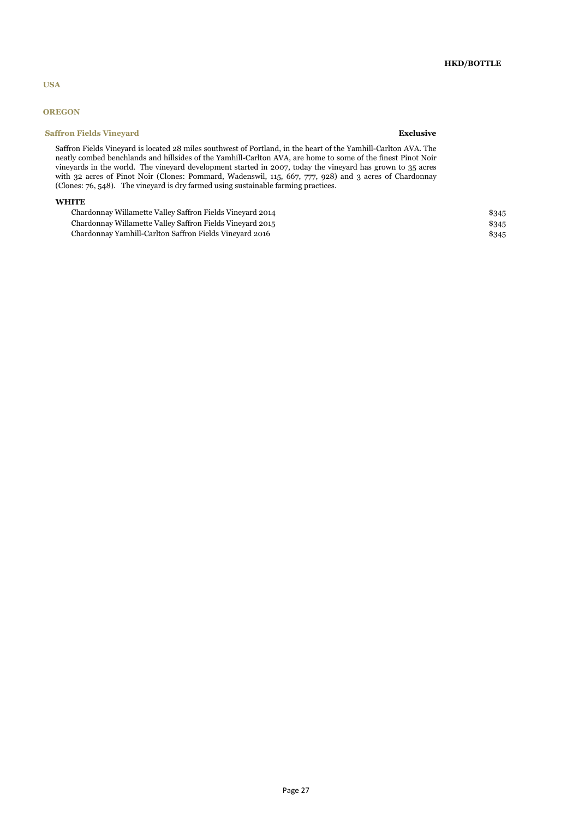## **HKD/BOTTLE**

## **USA**

## **OREGON**

## **Saffron Fields Vineyard <b>Exclusive** Exclusive **Exclusive**

Saffron Fields Vineyard is located 28 miles southwest of Portland, in the heart of the Yamhill-Carlton AVA. The neatly combed benchlands and hillsides of the Yamhill-Carlton AVA, are home to some of the finest Pinot Noir vineyards in the world. The vineyard development started in 2007, today the vineyard has grown to 35 acres with 32 acres of Pinot Noir (Clones: Pommard, Wadenswil, 115, 667, 777, 928) and 3 acres of Chardonnay (Clones: 76, 548). The vineyard is dry farmed using sustainable farming practices.

## **WHITE**

| Chardonnay Willamette Valley Saffron Fields Vineyard 2014 | \$345 |
|-----------------------------------------------------------|-------|
| Chardonnay Willamette Valley Saffron Fields Vineyard 2015 | \$345 |
| Chardonnay Yamhill-Carlton Saffron Fields Vinevard 2016   | \$345 |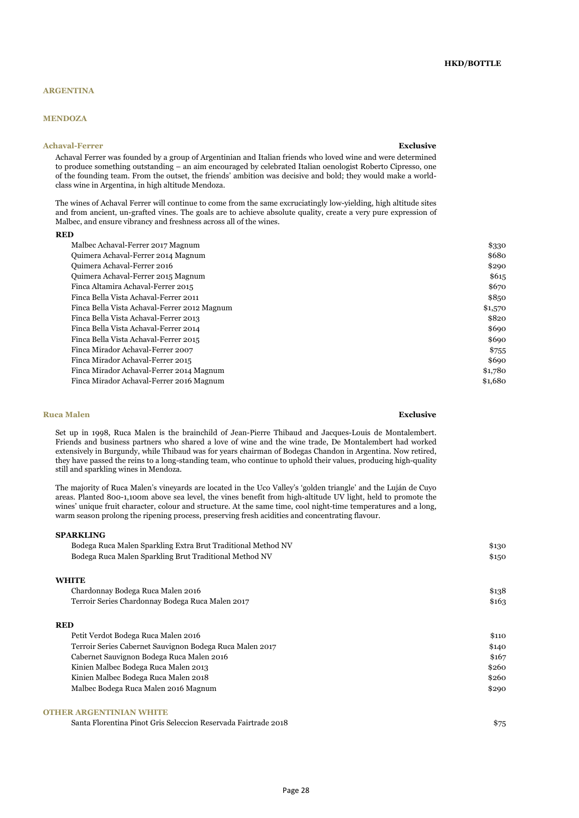### **ARGENTINA**

## **MENDOZA**

### **Achaval-Ferrer Exclusive**

Achaval Ferrer was founded by a group of Argentinian and Italian friends who loved wine and were determined to produce something outstanding – an aim encouraged by celebrated Italian oenologist Roberto Cipresso, one of the founding team. From the outset, the friends' ambition was decisive and bold; they would make a worldclass wine in Argentina, in high altitude Mendoza.

The wines of Achaval Ferrer will continue to come from the same excruciatingly low-yielding, high altitude sites and from ancient, un-grafted vines. The goals are to achieve absolute quality, create a very pure expression of Malbec, and ensure vibrancy and freshness across all of the wines.

#### **RED**

| Malbec Achaval-Ferrer 2017 Magnum            | \$330   |
|----------------------------------------------|---------|
| Quimera Achaval-Ferrer 2014 Magnum           | \$680   |
| Quimera Achaval-Ferrer 2016                  | \$290   |
| Quimera Achaval-Ferrer 2015 Magnum           | \$615   |
| Finca Altamira Achaval-Ferrer 2015           | \$670   |
| Finca Bella Vista Achaval-Ferrer 2011        | \$850   |
| Finca Bella Vista Achaval-Ferrer 2012 Magnum | \$1,570 |
| Finca Bella Vista Achaval-Ferrer 2013        | \$820   |
| Finca Bella Vista Achaval-Ferrer 2014        | \$690   |
| Finca Bella Vista Achaval-Ferrer 2015        | \$690   |
| Finca Mirador Achaval-Ferrer 2007            | \$755   |
| Finca Mirador Achaval-Ferrer 2015            | \$690   |
| Finca Mirador Achaval-Ferrer 2014 Magnum     | \$1,780 |
| Finca Mirador Achaval-Ferrer 2016 Magnum     | \$1,680 |

#### **Ruca Malen Exclusive**

Set up in 1998, Ruca Malen is the brainchild of Jean-Pierre Thibaud and Jacques-Louis de Montalembert. Friends and business partners who shared a love of wine and the wine trade, De Montalembert had worked extensively in Burgundy, while Thibaud was for years chairman of Bodegas Chandon in Argentina. Now retired, they have passed the reins to a long-standing team, who continue to uphold their values, producing high-quality still and sparkling wines in Mendoza.

The majority of Ruca Malen's vineyards are located in the Uco Valley's 'golden triangle' and the Luján de Cuyo areas. Planted 800-1,100m above sea level, the vines benefit from high-altitude UV light, held to promote the wines' unique fruit character, colour and structure. At the same time, cool night-time temperatures and a long, warm season prolong the ripening process, preserving fresh acidities and concentrating flavour.

### **SPARKLING**

| Bodega Ruca Malen Sparkling Extra Brut Traditional Method NV | \$130 |
|--------------------------------------------------------------|-------|
| Bodega Ruca Malen Sparkling Brut Traditional Method NV       | \$150 |
| <b>WHITE</b>                                                 |       |
| Chardonnay Bodega Ruca Malen 2016                            | \$138 |
| Terroir Series Chardonnay Bodega Ruca Malen 2017             | \$163 |
| <b>RED</b>                                                   |       |
| Petit Verdot Bodega Ruca Malen 2016                          | \$110 |
| Terroir Series Cabernet Sauvignon Bodega Ruca Malen 2017     | \$140 |
| Cabernet Sauvignon Bodega Ruca Malen 2016                    | \$167 |
| Kinien Malbec Bodega Ruca Malen 2013                         | \$260 |
| Kinien Malbec Bodega Ruca Malen 2018                         | \$260 |
| Malbec Bodega Ruca Malen 2016 Magnum                         | \$290 |
|                                                              |       |

## **OTHER ARGENTINIAN WHITE**

Santa Florentina Pinot Gris Seleccion Reservada Fairtrade 2018 \$75

**HKD/BOTTLE**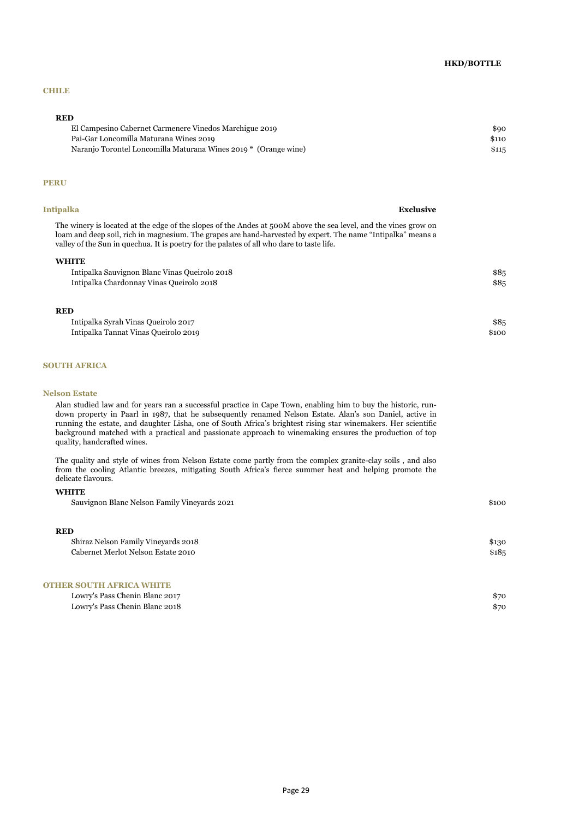## **HKD/BOTTLE**

## **CHILE**

## **RED**

| El Campesino Cabernet Carmenere Vinedos Marchigue 2019          | \$90  |
|-----------------------------------------------------------------|-------|
| Pai-Gar Loncomilla Maturana Wines 2019                          | \$110 |
| Naranjo Torontel Loncomilla Maturana Wines 2019 * (Orange wine) | \$115 |

#### **PERU**

| Intipalka                                                                                                                                                                                                                                                                                                                    | <b>Exclusive</b> |
|------------------------------------------------------------------------------------------------------------------------------------------------------------------------------------------------------------------------------------------------------------------------------------------------------------------------------|------------------|
| The winery is located at the edge of the slopes of the Andes at 500M above the sea level, and the vines grow on<br>loam and deep soil, rich in magnesium. The grapes are hand-harvested by expert. The name "Intipalka" means a<br>valley of the Sun in quechua. It is poetry for the palates of all who dare to taste life. |                  |
| <b>WHITE</b>                                                                                                                                                                                                                                                                                                                 |                  |
| Intipalka Sauvignon Blanc Vinas Queirolo 2018                                                                                                                                                                                                                                                                                | \$85             |
| Intipalka Chardonnay Vinas Queirolo 2018                                                                                                                                                                                                                                                                                     | \$85             |
| <b>RED</b>                                                                                                                                                                                                                                                                                                                   |                  |

| Intipalka Syrah Vinas Queirolo 2017  | \$85  |
|--------------------------------------|-------|
| Intipalka Tannat Vinas Queirolo 2019 | \$100 |

## **SOUTH AFRICA**

#### **Nelson Estate**

**WHITE**

Alan studied law and for years ran a successful practice in Cape Town, enabling him to buy the historic, rundown property in Paarl in 1987, that he subsequently renamed Nelson Estate. Alan's son Daniel, active in running the estate, and daughter Lisha, one of South Africa's brightest rising star winemakers. Her scientific background matched with a practical and passionate approach to winemaking ensures the production of top quality, handcrafted wines.

The quality and style of wines from Nelson Estate come partly from the complex granite-clay soils , and also from the cooling Atlantic breezes, mitigating South Africa's fierce summer heat and helping promote the delicate flavours.

| Sauvignon Blanc Nelson Family Vineyards 2021   | \$100  |
|------------------------------------------------|--------|
| <b>RED</b>                                     |        |
| Shiraz Nelson Family Vineyards 2018            | \$130  |
| Cabernet Merlot Nelson Estate 2010             | \$18,5 |
| <b>OTHER SOUTH AFRICA WHITE</b>                |        |
| $\mathbf{r}$ and $\mathbf{r}$ and $\mathbf{r}$ |        |

| Lowry's Pass Chenin Blanc 2017 | \$7с |
|--------------------------------|------|
| Lowry's Pass Chenin Blanc 2018 | \$70 |